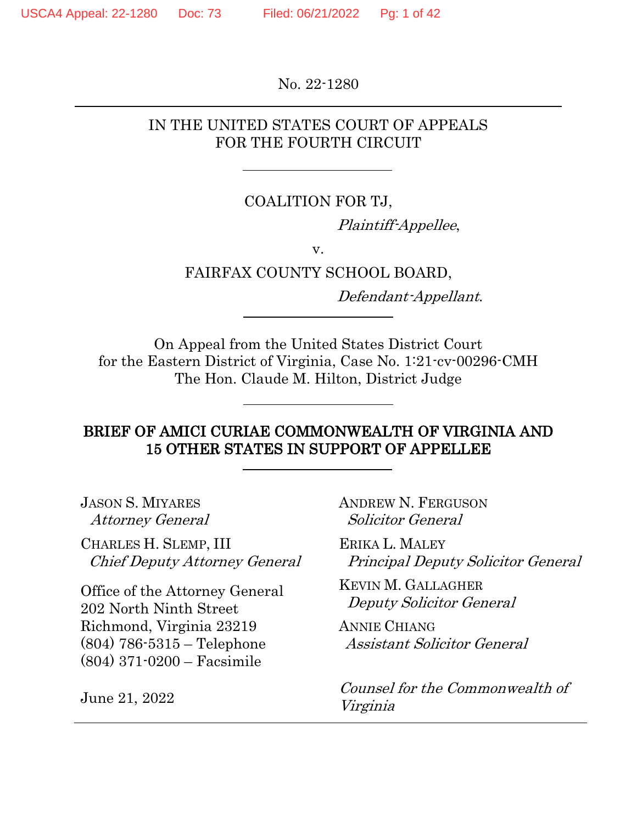No. 22-1280

#### IN THE UNITED STATES COURT OF APPEALS FOR THE FOURTH CIRCUIT

#### COALITION FOR TJ,

Plaintiff-Appellee,

v.

#### FAIRFAX COUNTY SCHOOL BOARD,

Defendant-Appellant.

On Appeal from the United States District Court for the Eastern District of Virginia, Case No. 1:21-cv-00296-CMH The Hon. Claude M. Hilton, District Judge

#### BRIEF OF AMICI CURIAE COMMONWEALTH OF VIRGINIA AND 15 OTHER STATES IN SUPPORT OF APPELLEE

JASON S. MIYARES Attorney General

CHARLES H. SLEMP, III Chief Deputy Attorney General

Office of the Attorney General 202 North Ninth Street Richmond, Virginia 23219 (804) 786-5315 – Telephone (804) 371-0200 – Facsimile

June 21, 2022

ANDREW N. FERGUSON Solicitor General

ERIKA L. MALEY Principal Deputy Solicitor General

KEVIN M. GALLAGHER Deputy Solicitor General

ANNIE CHIANG Assistant Solicitor General

Counsel for the Commonwealth of Virginia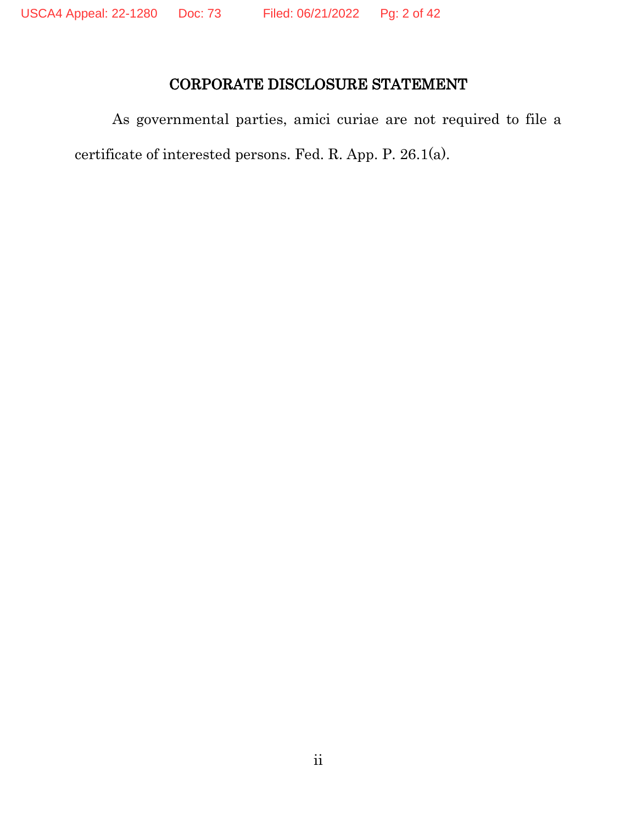## CORPORATE DISCLOSURE STATEMENT

As governmental parties, amici curiae are not required to file a certificate of interested persons. Fed. R. App. P. 26.1(a).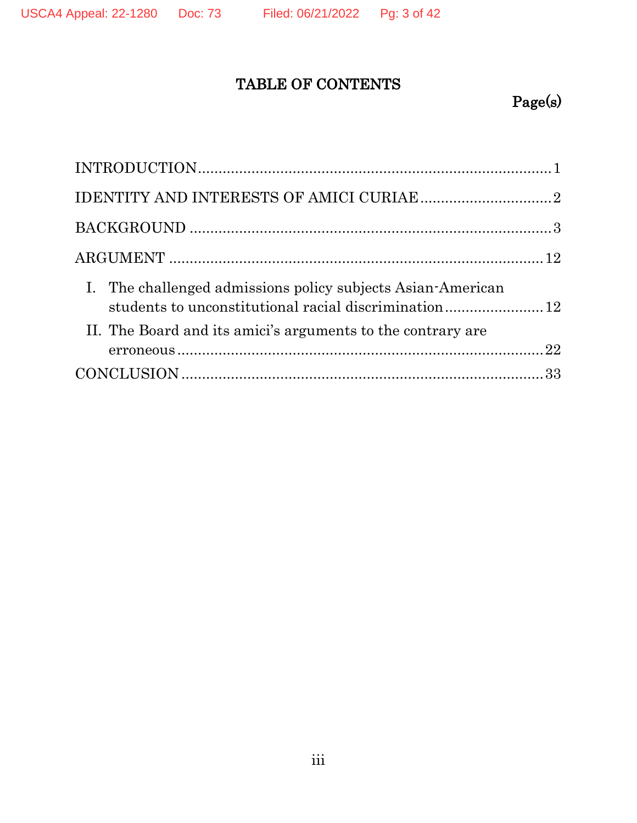## TABLE OF CONTENTS

# Page(s)

| I. The challenged admissions policy subjects Asian-American<br>students to unconstitutional racial discrimination12 |  |
|---------------------------------------------------------------------------------------------------------------------|--|
| II. The Board and its amici's arguments to the contrary are                                                         |  |
|                                                                                                                     |  |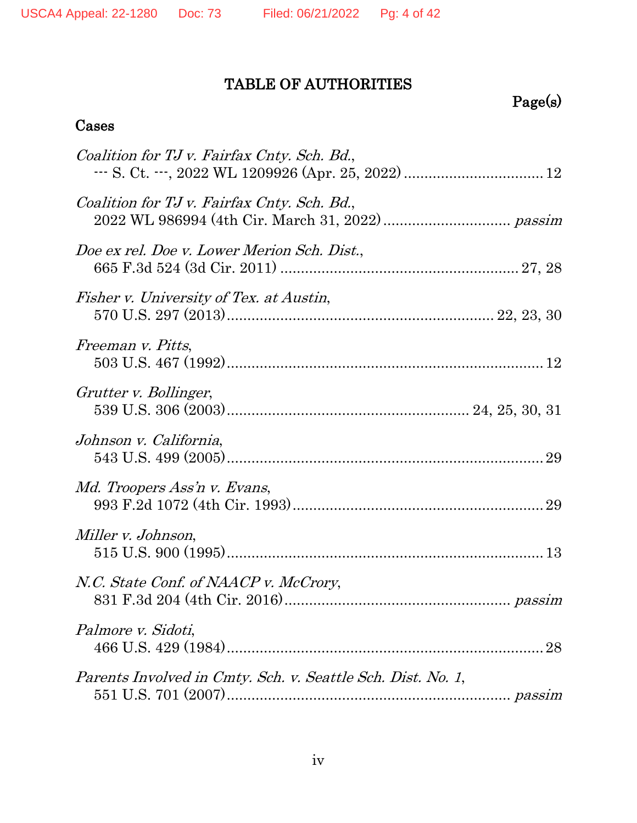## TABLE OF AUTHORITIES

# Page(s)

### Cases

| Coalition for TJ v. Fairfax Cnty. Sch. Bd.,                 |    |
|-------------------------------------------------------------|----|
| Coalition for TJ v. Fairfax Cnty. Sch. Bd.,                 |    |
| Doe ex rel. Doe v. Lower Merion Sch. Dist.,                 |    |
| Fisher v. University of Tex. at Austin,                     |    |
| Freeman v. Pitts,                                           |    |
| Grutter v. Bollinger,                                       |    |
| Johnson v. California,                                      |    |
| Md. Troopers Ass'n v. Evans,                                |    |
| Miller v. Johnson,                                          |    |
| N.C. State Conf. of NAACP v. McCrory,                       |    |
| Palmore v. Sidoti,                                          | 28 |
| Parents Involved in Cmty. Sch. v. Seattle Sch. Dist. No. 1, |    |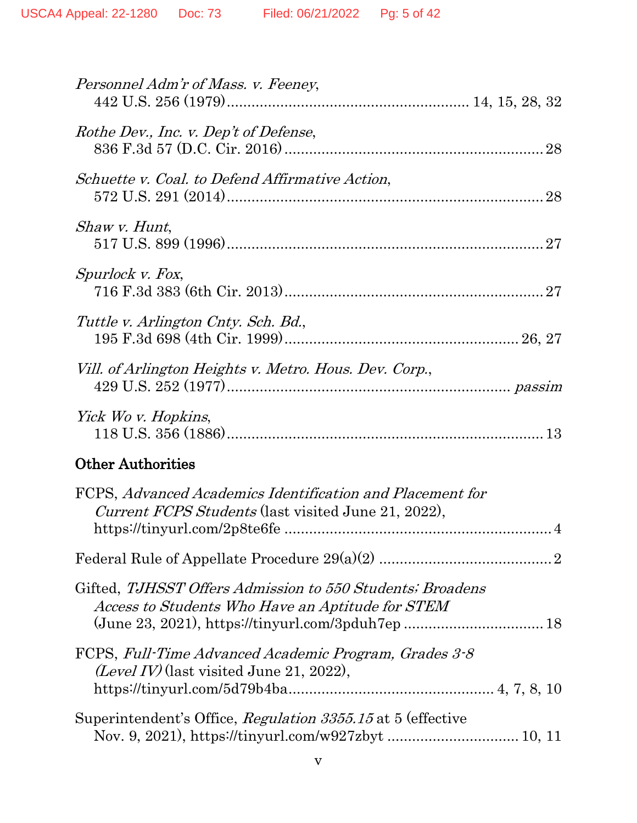| Personnel Adm'r of Mass. v. Feeney,                                                                                |
|--------------------------------------------------------------------------------------------------------------------|
| Rothe Dev., Inc. v. Dep't of Defense,                                                                              |
| Schuette v. Coal. to Defend Affirmative Action,                                                                    |
| <i>Shaw v. Hunt,</i>                                                                                               |
| Spurlock v. Fox,                                                                                                   |
| Tuttle v. Arlington Cnty. Sch. Bd.,                                                                                |
| Vill. of Arlington Heights v. Metro. Hous. Dev. Corp.,                                                             |
| Yick Wo v. Hopkins,                                                                                                |
| <b>Other Authorities</b>                                                                                           |
| FCPS, Advanced Academics Identification and Placement for<br>Current FCPS Students (last visited June 21, 2022),   |
|                                                                                                                    |
| Gifted, TJHSST Offers Admission to 550 Students; Broadens<br>Access to Students Who Have an Aptitude for STEM      |
| FCPS, Full-Time Advanced Academic Program, Grades 3-8<br>$(Level IV)$ (last visited June 21, 2022),                |
| Superintendent's Office, Regulation 3355.15 at 5 (effective<br>Nov. 9, 2021), https://tinyurl.com/w927zbyt  10, 11 |
|                                                                                                                    |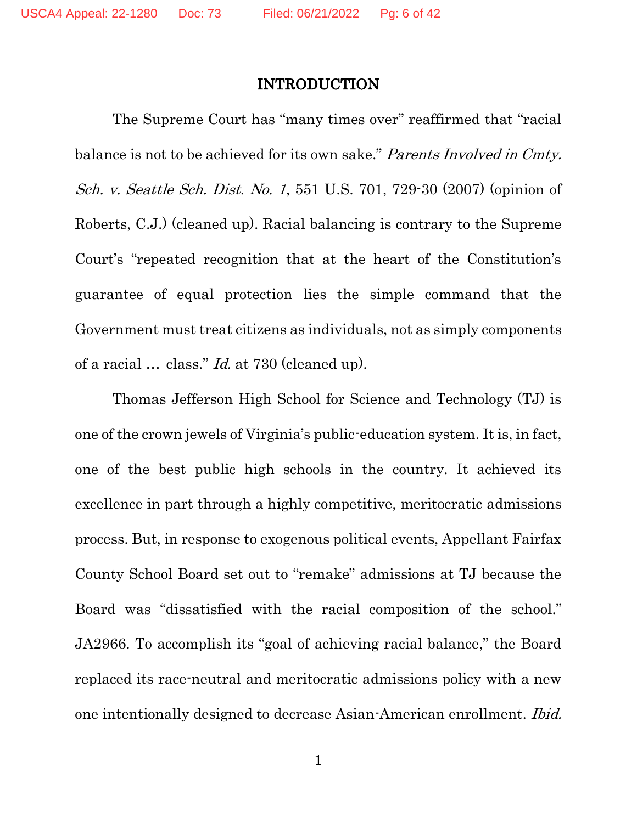#### INTRODUCTION

The Supreme Court has "many times over" reaffirmed that "racial balance is not to be achieved for its own sake." Parents Involved in Cmty. Sch. v. Seattle Sch. Dist. No. 1, 551 U.S. 701, 729-30 (2007) (opinion of Roberts, C.J.) (cleaned up). Racial balancing is contrary to the Supreme Court's "repeated recognition that at the heart of the Constitution's guarantee of equal protection lies the simple command that the Government must treat citizens as individuals, not as simply components of a racial … class." Id. at 730 (cleaned up).

Thomas Jefferson High School for Science and Technology (TJ) is one of the crown jewels of Virginia's public-education system. It is, in fact, one of the best public high schools in the country. It achieved its excellence in part through a highly competitive, meritocratic admissions process. But, in response to exogenous political events, Appellant Fairfax County School Board set out to "remake" admissions at TJ because the Board was "dissatisfied with the racial composition of the school." JA2966. To accomplish its "goal of achieving racial balance," the Board replaced its race-neutral and meritocratic admissions policy with a new one intentionally designed to decrease Asian-American enrollment. Ibid.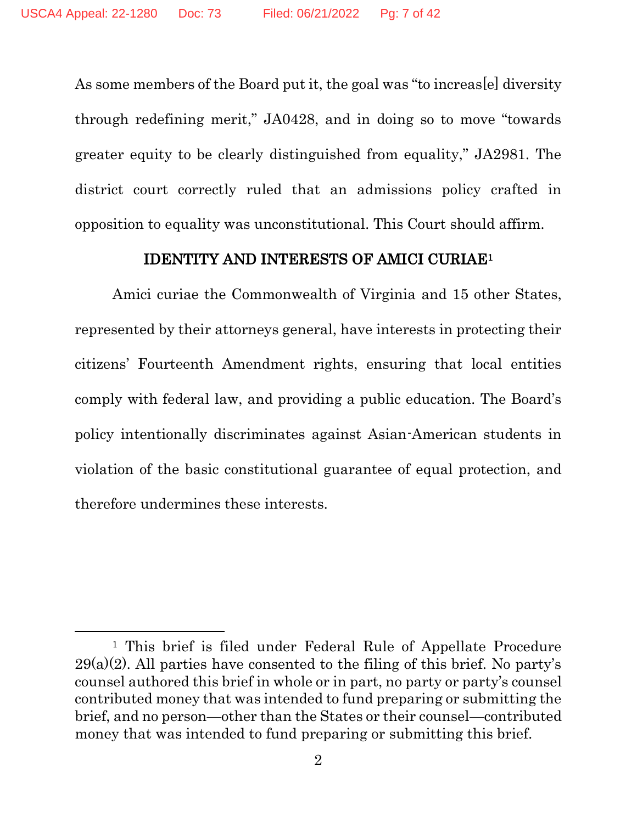As some members of the Board put it, the goal was "to increas[e] diversity through redefining merit," JA0428, and in doing so to move "towards greater equity to be clearly distinguished from equality," JA2981. The district court correctly ruled that an admissions policy crafted in opposition to equality was unconstitutional. This Court should affirm.

#### IDENTITY AND INTERESTS OF AMICI CURIAE<sup>1</sup>

Amici curiae the Commonwealth of Virginia and 15 other States, represented by their attorneys general, have interests in protecting their citizens' Fourteenth Amendment rights, ensuring that local entities comply with federal law, and providing a public education. The Board's policy intentionally discriminates against Asian-American students in violation of the basic constitutional guarantee of equal protection, and therefore undermines these interests.

<sup>&</sup>lt;sup>1</sup> This brief is filed under Federal Rule of Appellate Procedure  $29(a)(2)$ . All parties have consented to the filing of this brief. No party's counsel authored this brief in whole or in part, no party or party's counsel contributed money that was intended to fund preparing or submitting the brief, and no person—other than the States or their counsel—contributed money that was intended to fund preparing or submitting this brief.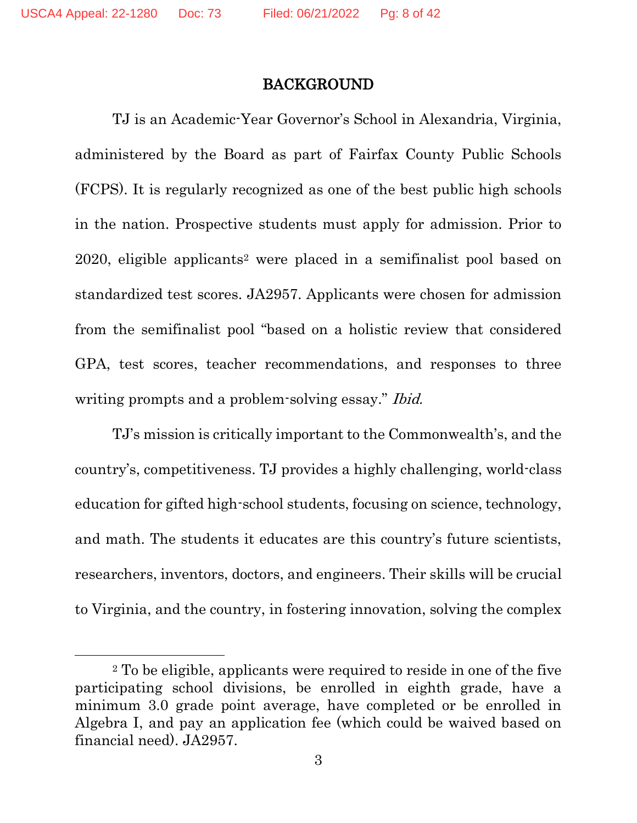#### BACKGROUND

TJ is an Academic-Year Governor's School in Alexandria, Virginia, administered by the Board as part of Fairfax County Public Schools (FCPS). It is regularly recognized as one of the best public high schools in the nation. Prospective students must apply for admission. Prior to 2020, eligible applicants<sup>2</sup> were placed in a semifinalist pool based on standardized test scores. JA2957. Applicants were chosen for admission from the semifinalist pool "based on a holistic review that considered GPA, test scores, teacher recommendations, and responses to three writing prompts and a problem-solving essay." *Ibid.* 

TJ's mission is critically important to the Commonwealth's, and the country's, competitiveness. TJ provides a highly challenging, world-class education for gifted high-school students, focusing on science, technology, and math. The students it educates are this country's future scientists, researchers, inventors, doctors, and engineers. Their skills will be crucial to Virginia, and the country, in fostering innovation, solving the complex

<sup>2</sup> To be eligible, applicants were required to reside in one of the five participating school divisions, be enrolled in eighth grade, have a minimum 3.0 grade point average, have completed or be enrolled in Algebra I, and pay an application fee (which could be waived based on financial need). JA2957.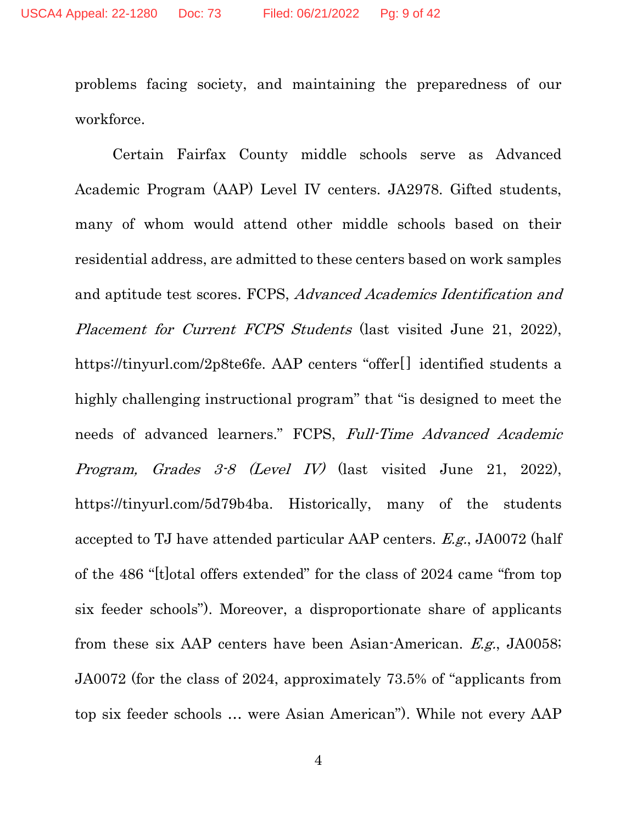problems facing society, and maintaining the preparedness of our workforce.

Certain Fairfax County middle schools serve as Advanced Academic Program (AAP) Level IV centers. JA2978. Gifted students, many of whom would attend other middle schools based on their residential address, are admitted to these centers based on work samples and aptitude test scores. FCPS, Advanced Academics Identification and Placement for Current FCPS Students (last visited June 21, 2022), https://tinyurl.com/2p8te6fe. AAP centers "offer[] identified students a highly challenging instructional program" that "is designed to meet the needs of advanced learners." FCPS, Full-Time Advanced Academic Program, Grades 3-8 (Level IV) (last visited June 21, 2022), https://tinyurl.com/5d79b4ba. Historically, many of the students accepted to TJ have attended particular AAP centers. E.g., JA0072 (half of the 486 "[t]otal offers extended" for the class of 2024 came "from top six feeder schools"). Moreover, a disproportionate share of applicants from these six AAP centers have been Asian-American. E.g., JA0058; JA0072 (for the class of 2024, approximately 73.5% of "applicants from top six feeder schools … were Asian American"). While not every AAP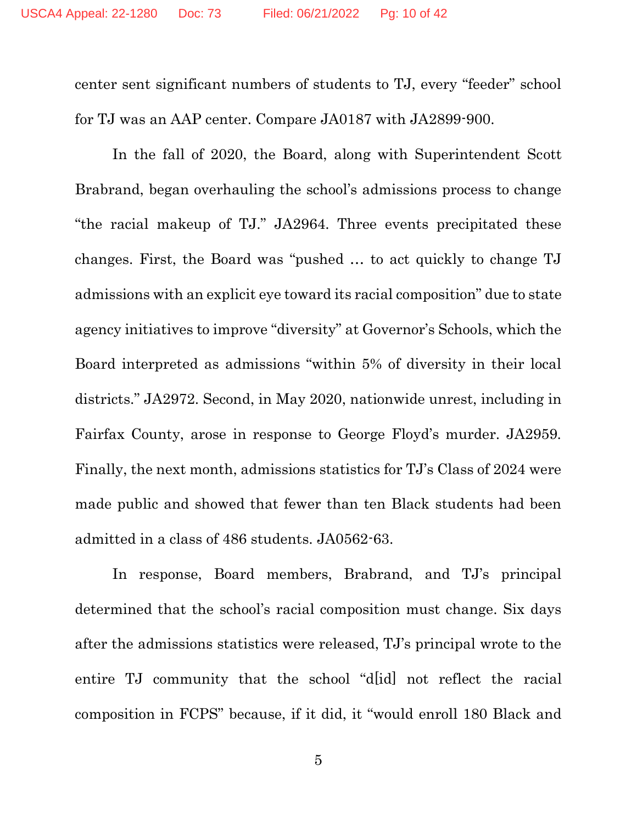center sent significant numbers of students to TJ, every "feeder" school for TJ was an AAP center. Compare JA0187 with JA2899-900.

In the fall of 2020, the Board, along with Superintendent Scott Brabrand, began overhauling the school's admissions process to change "the racial makeup of TJ." JA2964. Three events precipitated these changes. First, the Board was "pushed … to act quickly to change TJ admissions with an explicit eye toward its racial composition" due to state agency initiatives to improve "diversity" at Governor's Schools, which the Board interpreted as admissions "within 5% of diversity in their local districts." JA2972. Second, in May 2020, nationwide unrest, including in Fairfax County, arose in response to George Floyd's murder. JA2959. Finally, the next month, admissions statistics for TJ's Class of 2024 were made public and showed that fewer than ten Black students had been admitted in a class of 486 students. JA0562-63.

In response, Board members, Brabrand, and TJ's principal determined that the school's racial composition must change. Six days after the admissions statistics were released, TJ's principal wrote to the entire TJ community that the school "d[id] not reflect the racial composition in FCPS" because, if it did, it "would enroll 180 Black and

5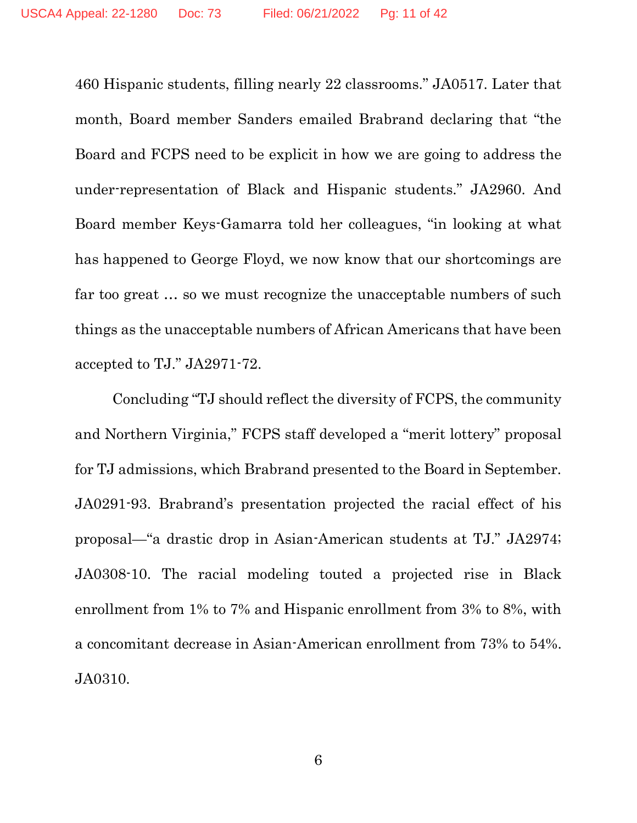460 Hispanic students, filling nearly 22 classrooms." JA0517. Later that month, Board member Sanders emailed Brabrand declaring that "the Board and FCPS need to be explicit in how we are going to address the under-representation of Black and Hispanic students." JA2960. And Board member Keys-Gamarra told her colleagues, "in looking at what has happened to George Floyd, we now know that our shortcomings are far too great … so we must recognize the unacceptable numbers of such things as the unacceptable numbers of African Americans that have been accepted to TJ." JA2971-72.

Concluding "TJ should reflect the diversity of FCPS, the community and Northern Virginia," FCPS staff developed a "merit lottery" proposal for TJ admissions, which Brabrand presented to the Board in September. JA0291-93. Brabrand's presentation projected the racial effect of his proposal—"a drastic drop in Asian-American students at TJ." JA2974; JA0308-10. The racial modeling touted a projected rise in Black enrollment from 1% to 7% and Hispanic enrollment from 3% to 8%, with a concomitant decrease in Asian-American enrollment from 73% to 54%. JA0310.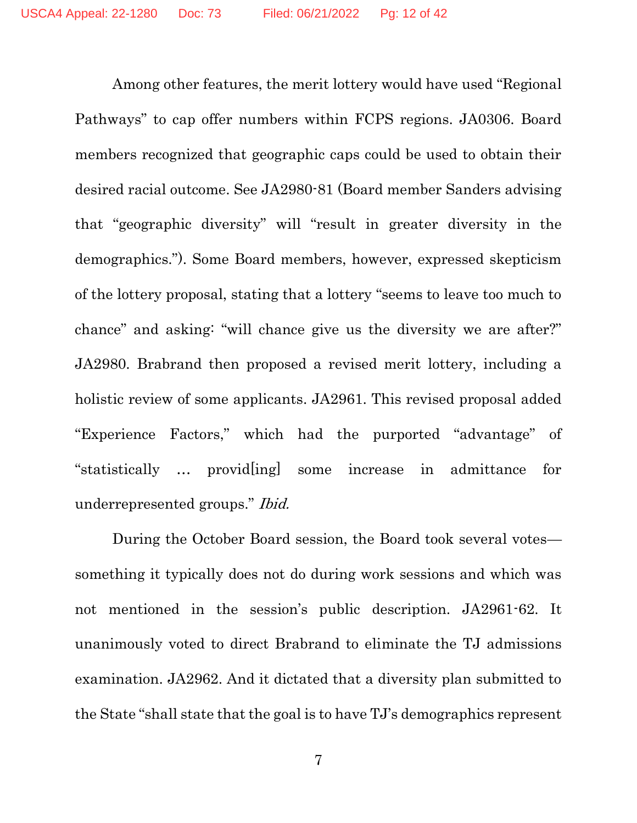Among other features, the merit lottery would have used "Regional Pathways" to cap offer numbers within FCPS regions. JA0306. Board members recognized that geographic caps could be used to obtain their desired racial outcome. See JA2980-81 (Board member Sanders advising that "geographic diversity" will "result in greater diversity in the demographics."). Some Board members, however, expressed skepticism of the lottery proposal, stating that a lottery "seems to leave too much to chance" and asking: "will chance give us the diversity we are after?" JA2980. Brabrand then proposed a revised merit lottery, including a holistic review of some applicants. JA2961. This revised proposal added "Experience Factors," which had the purported "advantage" of "statistically … provid[ing] some increase in admittance for underrepresented groups." Ibid.

During the October Board session, the Board took several votes something it typically does not do during work sessions and which was not mentioned in the session's public description. JA2961-62. It unanimously voted to direct Brabrand to eliminate the TJ admissions examination. JA2962. And it dictated that a diversity plan submitted to the State "shall state that the goal is to have TJ's demographics represent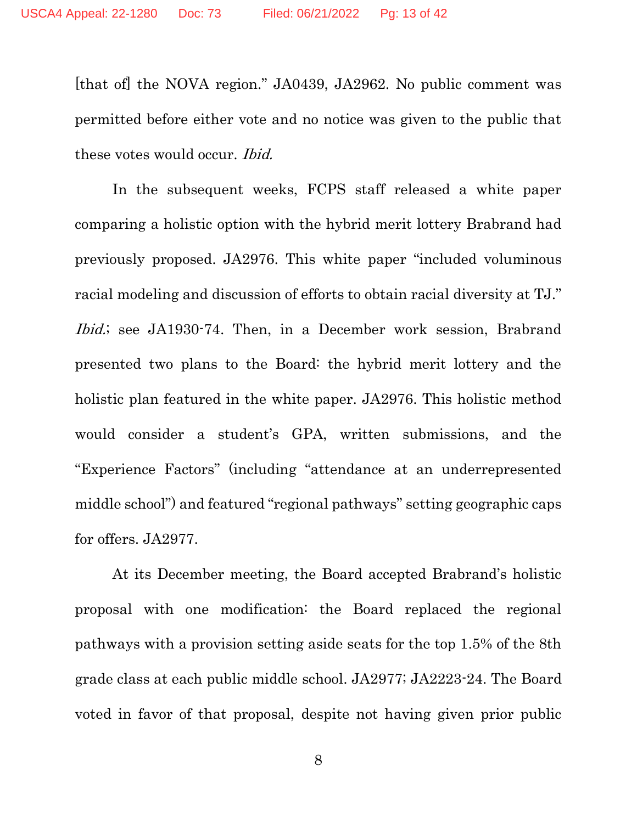[that of] the NOVA region." JA0439, JA2962. No public comment was permitted before either vote and no notice was given to the public that these votes would occur. Ibid.

In the subsequent weeks, FCPS staff released a white paper comparing a holistic option with the hybrid merit lottery Brabrand had previously proposed. JA2976. This white paper "included voluminous racial modeling and discussion of efforts to obtain racial diversity at TJ." Ibid.; see JA1930-74. Then, in a December work session, Brabrand presented two plans to the Board: the hybrid merit lottery and the holistic plan featured in the white paper. JA2976. This holistic method would consider a student's GPA, written submissions, and the "Experience Factors" (including "attendance at an underrepresented middle school") and featured "regional pathways" setting geographic caps for offers. JA2977.

At its December meeting, the Board accepted Brabrand's holistic proposal with one modification: the Board replaced the regional pathways with a provision setting aside seats for the top 1.5% of the 8th grade class at each public middle school. JA2977; JA2223-24. The Board voted in favor of that proposal, despite not having given prior public

8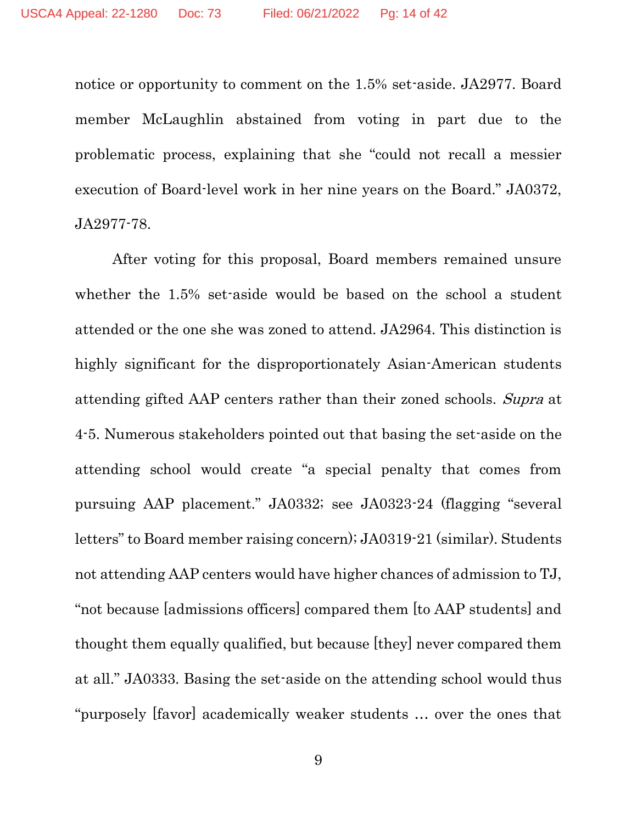notice or opportunity to comment on the 1.5% set-aside. JA2977. Board member McLaughlin abstained from voting in part due to the problematic process, explaining that she "could not recall a messier execution of Board-level work in her nine years on the Board." JA0372, JA2977-78.

After voting for this proposal, Board members remained unsure whether the 1.5% set-aside would be based on the school a student attended or the one she was zoned to attend. JA2964. This distinction is highly significant for the disproportionately Asian-American students attending gifted AAP centers rather than their zoned schools. Supra at 4-5. Numerous stakeholders pointed out that basing the set-aside on the attending school would create "a special penalty that comes from pursuing AAP placement." JA0332; see JA0323-24 (flagging "several letters" to Board member raising concern); JA0319-21 (similar). Students not attending AAP centers would have higher chances of admission to TJ, "not because [admissions officers] compared them [to AAP students] and thought them equally qualified, but because [they] never compared them at all." JA0333. Basing the set-aside on the attending school would thus "purposely [favor] academically weaker students … over the ones that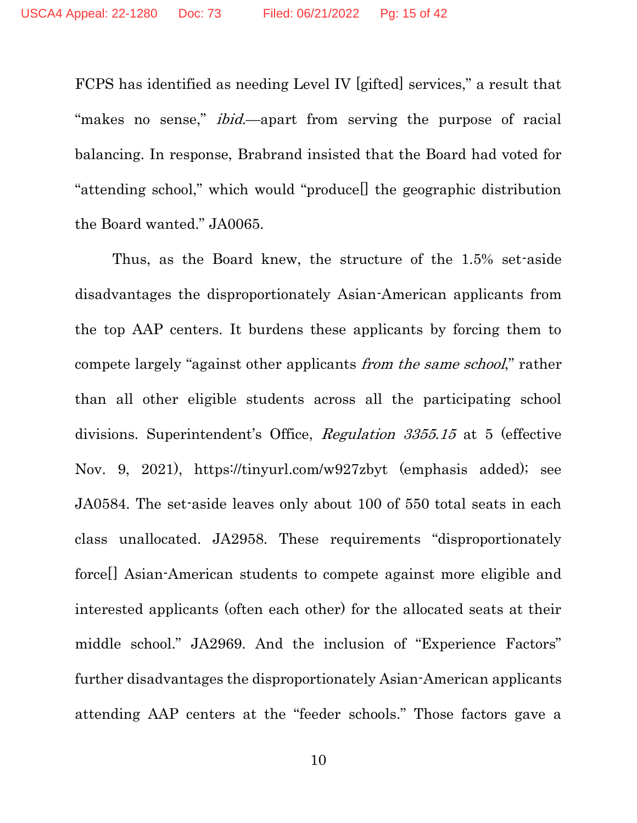FCPS has identified as needing Level IV [gifted] services," a result that "makes no sense," *ibid*—apart from serving the purpose of racial balancing. In response, Brabrand insisted that the Board had voted for "attending school," which would "produce[] the geographic distribution the Board wanted." JA0065.

Thus, as the Board knew, the structure of the 1.5% set-aside disadvantages the disproportionately Asian-American applicants from the top AAP centers. It burdens these applicants by forcing them to compete largely "against other applicants from the same school," rather than all other eligible students across all the participating school divisions. Superintendent's Office, Regulation 3355.15 at 5 (effective Nov. 9, 2021), https://tinyurl.com/w927zbyt (emphasis added); see JA0584. The set-aside leaves only about 100 of 550 total seats in each class unallocated. JA2958. These requirements "disproportionately force[] Asian-American students to compete against more eligible and interested applicants (often each other) for the allocated seats at their middle school." JA2969. And the inclusion of "Experience Factors" further disadvantages the disproportionately Asian-American applicants attending AAP centers at the "feeder schools." Those factors gave a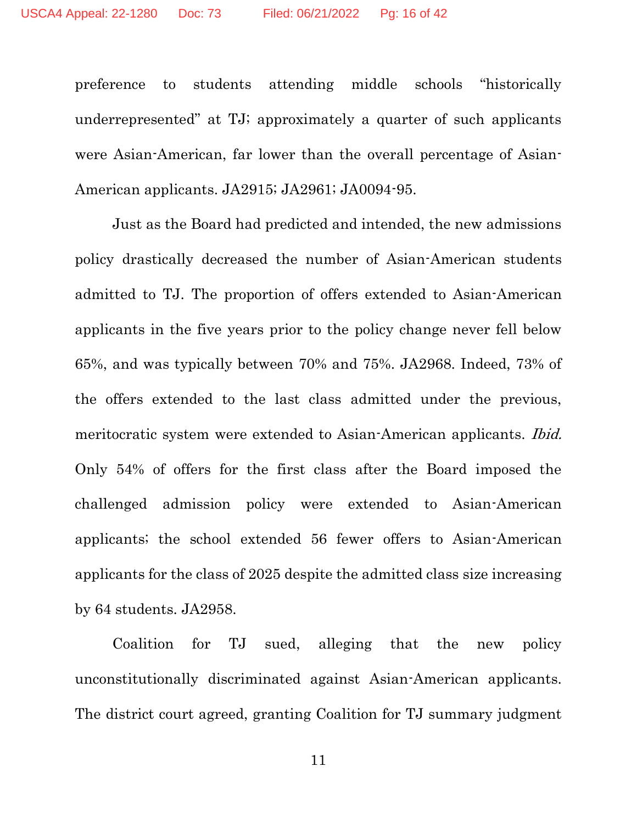preference to students attending middle schools "historically underrepresented" at TJ; approximately a quarter of such applicants were Asian-American, far lower than the overall percentage of Asian-American applicants. JA2915; JA2961; JA0094-95.

Just as the Board had predicted and intended, the new admissions policy drastically decreased the number of Asian-American students admitted to TJ. The proportion of offers extended to Asian-American applicants in the five years prior to the policy change never fell below 65%, and was typically between 70% and 75%. JA2968. Indeed, 73% of the offers extended to the last class admitted under the previous, meritocratic system were extended to Asian-American applicants. *Ibid.* Only 54% of offers for the first class after the Board imposed the challenged admission policy were extended to Asian-American applicants; the school extended 56 fewer offers to Asian-American applicants for the class of 2025 despite the admitted class size increasing by 64 students. JA2958.

Coalition for TJ sued, alleging that the new policy unconstitutionally discriminated against Asian-American applicants. The district court agreed, granting Coalition for TJ summary judgment

11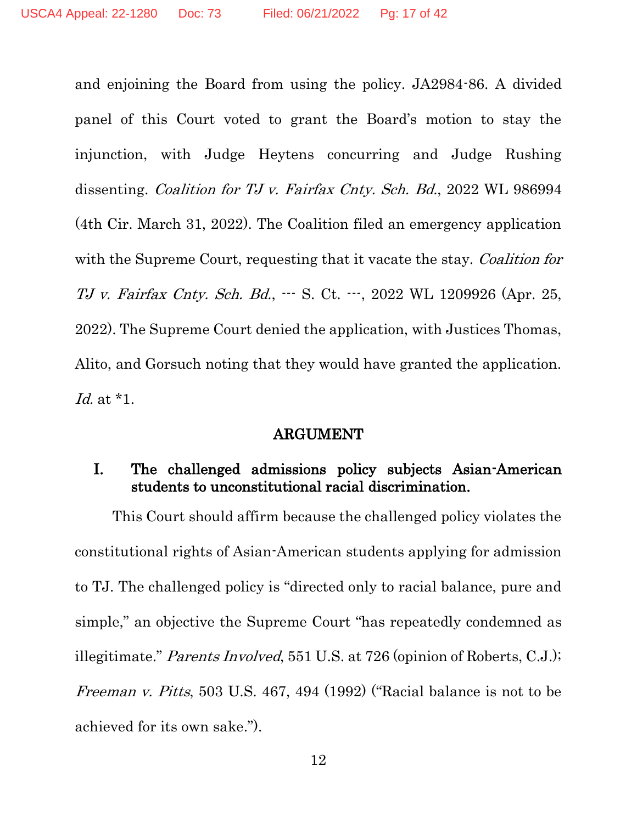and enjoining the Board from using the policy. JA2984-86. A divided panel of this Court voted to grant the Board's motion to stay the injunction, with Judge Heytens concurring and Judge Rushing dissenting. Coalition for TJ v. Fairfax Cnty. Sch. Bd., 2022 WL 986994 (4th Cir. March 31, 2022). The Coalition filed an emergency application with the Supreme Court, requesting that it vacate the stay. Coalition for TJ v. Fairfax Cnty. Sch. Bd., --- S. Ct. ---, 2022 WL 1209926 (Apr. 25, 2022). The Supreme Court denied the application, with Justices Thomas, Alito, and Gorsuch noting that they would have granted the application. Id. at \*1.

#### ARGUMENT

#### I. The challenged admissions policy subjects Asian-American students to unconstitutional racial discrimination.

This Court should affirm because the challenged policy violates the constitutional rights of Asian-American students applying for admission to TJ. The challenged policy is "directed only to racial balance, pure and simple," an objective the Supreme Court "has repeatedly condemned as illegitimate." Parents Involved, 551 U.S. at 726 (opinion of Roberts, C.J.); Freeman v. Pitts, 503 U.S. 467, 494 (1992) ("Racial balance is not to be achieved for its own sake.").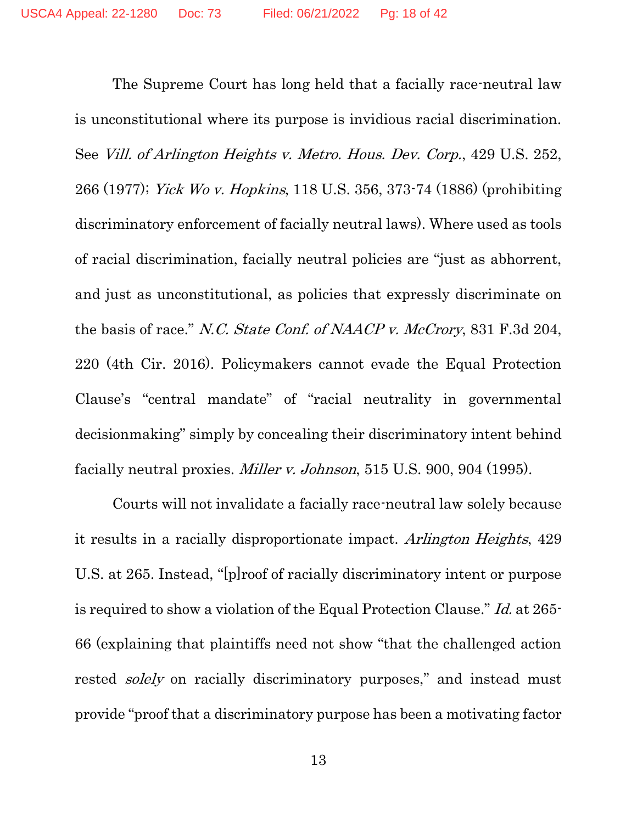The Supreme Court has long held that a facially race-neutral law is unconstitutional where its purpose is invidious racial discrimination. See Vill. of Arlington Heights v. Metro. Hous. Dev. Corp., 429 U.S. 252, 266 (1977); Yick Wo v. Hopkins, 118 U.S. 356, 373-74 (1886) (prohibiting discriminatory enforcement of facially neutral laws). Where used as tools of racial discrimination, facially neutral policies are "just as abhorrent, and just as unconstitutional, as policies that expressly discriminate on the basis of race." N.C. State Conf. of NAACP v. McCrory, 831 F.3d 204, 220 (4th Cir. 2016). Policymakers cannot evade the Equal Protection Clause's "central mandate" of "racial neutrality in governmental decisionmaking" simply by concealing their discriminatory intent behind facially neutral proxies. Miller v. Johnson, 515 U.S. 900, 904 (1995).

Courts will not invalidate a facially race-neutral law solely because it results in a racially disproportionate impact. Arlington Heights, 429 U.S. at 265. Instead, "[p]roof of racially discriminatory intent or purpose is required to show a violation of the Equal Protection Clause." Id. at 265- 66 (explaining that plaintiffs need not show "that the challenged action rested solely on racially discriminatory purposes," and instead must provide "proof that a discriminatory purpose has been a motivating factor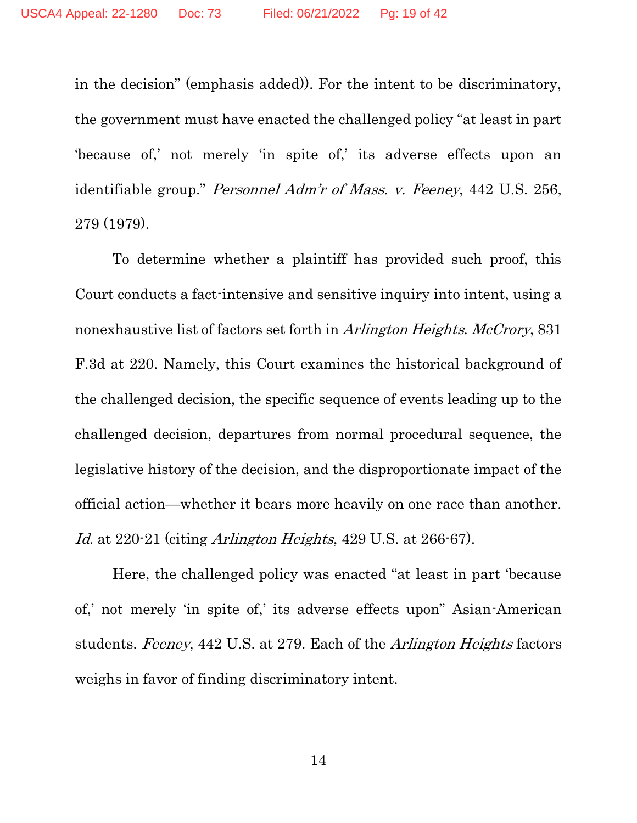in the decision" (emphasis added)). For the intent to be discriminatory, the government must have enacted the challenged policy "at least in part 'because of,' not merely 'in spite of,' its adverse effects upon an identifiable group." Personnel Adm'r of Mass. v. Feeney, 442 U.S. 256, 279 (1979).

To determine whether a plaintiff has provided such proof, this Court conducts a fact-intensive and sensitive inquiry into intent, using a nonexhaustive list of factors set forth in Arlington Heights. McCrory, 831 F.3d at 220. Namely, this Court examines the historical background of the challenged decision, the specific sequence of events leading up to the challenged decision, departures from normal procedural sequence, the legislative history of the decision, and the disproportionate impact of the official action—whether it bears more heavily on one race than another. Id. at 220-21 (citing Arlington Heights, 429 U.S. at 266-67).

Here, the challenged policy was enacted "at least in part 'because of,' not merely 'in spite of,' its adverse effects upon" Asian-American students. Feeney, 442 U.S. at 279. Each of the Arlington Heights factors weighs in favor of finding discriminatory intent.

14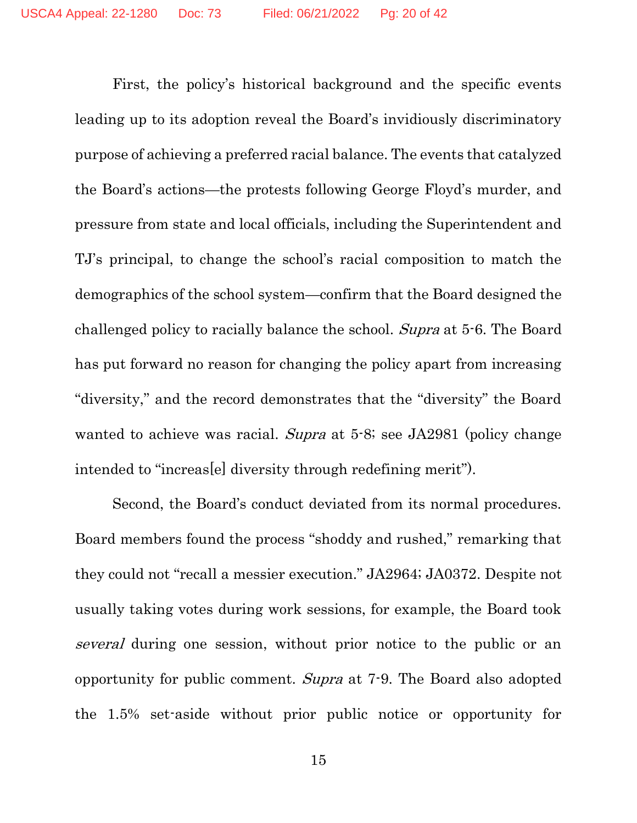First, the policy's historical background and the specific events leading up to its adoption reveal the Board's invidiously discriminatory purpose of achieving a preferred racial balance. The events that catalyzed the Board's actions—the protests following George Floyd's murder, and pressure from state and local officials, including the Superintendent and TJ's principal, to change the school's racial composition to match the demographics of the school system—confirm that the Board designed the challenged policy to racially balance the school. Supra at 5-6. The Board has put forward no reason for changing the policy apart from increasing "diversity," and the record demonstrates that the "diversity" the Board wanted to achieve was racial. Supra at 5-8; see JA2981 (policy change intended to "increas[e] diversity through redefining merit").

Second, the Board's conduct deviated from its normal procedures. Board members found the process "shoddy and rushed," remarking that they could not "recall a messier execution." JA2964; JA0372. Despite not usually taking votes during work sessions, for example, the Board took several during one session, without prior notice to the public or an opportunity for public comment. Supra at 7-9. The Board also adopted the 1.5% set-aside without prior public notice or opportunity for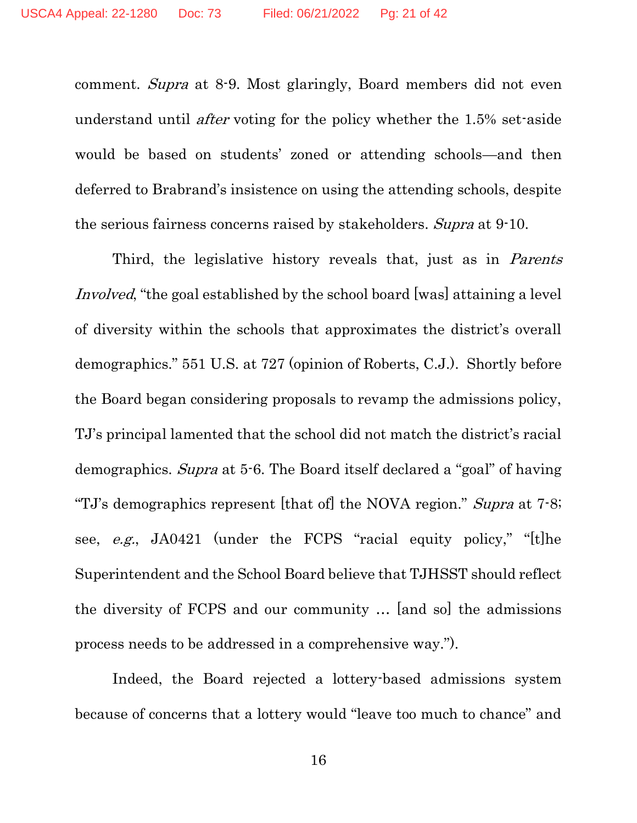comment. Supra at 8-9. Most glaringly, Board members did not even understand until *after* voting for the policy whether the 1.5% set-aside would be based on students' zoned or attending schools—and then deferred to Brabrand's insistence on using the attending schools, despite the serious fairness concerns raised by stakeholders. Supra at 9-10.

Third, the legislative history reveals that, just as in *Parents* Involved, "the goal established by the school board [was] attaining a level of diversity within the schools that approximates the district's overall demographics." 551 U.S. at 727 (opinion of Roberts, C.J.). Shortly before the Board began considering proposals to revamp the admissions policy, TJ's principal lamented that the school did not match the district's racial demographics. Supra at 5-6. The Board itself declared a "goal" of having "TJ's demographics represent [that of] the NOVA region." Supra at 7-8; see, e.g., JA0421 (under the FCPS "racial equity policy," "[t]he Superintendent and the School Board believe that TJHSST should reflect the diversity of FCPS and our community … [and so] the admissions process needs to be addressed in a comprehensive way.").

Indeed, the Board rejected a lottery-based admissions system because of concerns that a lottery would "leave too much to chance" and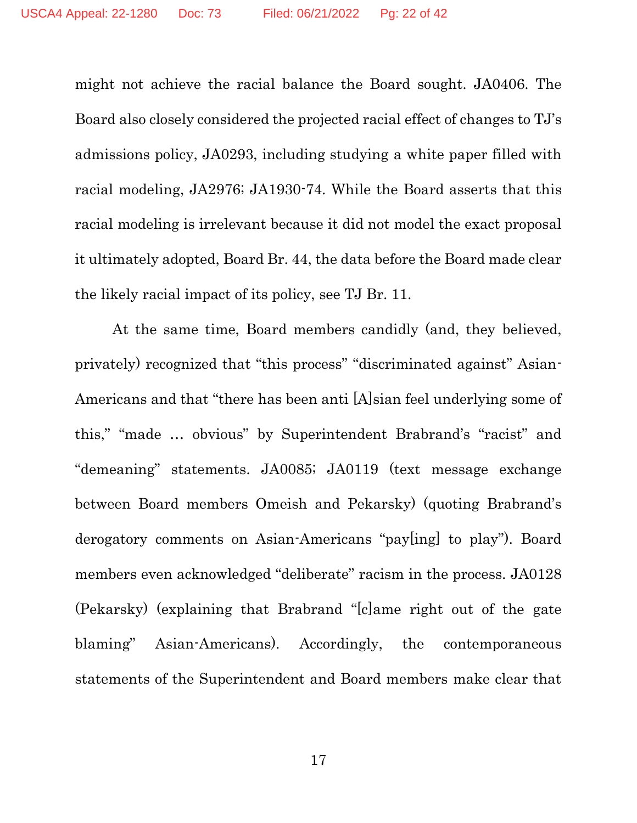might not achieve the racial balance the Board sought. JA0406. The Board also closely considered the projected racial effect of changes to TJ's admissions policy, JA0293, including studying a white paper filled with racial modeling, JA2976; JA1930-74. While the Board asserts that this racial modeling is irrelevant because it did not model the exact proposal it ultimately adopted, Board Br. 44, the data before the Board made clear the likely racial impact of its policy, see TJ Br. 11.

At the same time, Board members candidly (and, they believed, privately) recognized that "this process" "discriminated against" Asian-Americans and that "there has been anti [A]sian feel underlying some of this," "made … obvious" by Superintendent Brabrand's "racist" and "demeaning" statements. JA0085; JA0119 (text message exchange between Board members Omeish and Pekarsky) (quoting Brabrand's derogatory comments on Asian-Americans "pay[ing] to play"). Board members even acknowledged "deliberate" racism in the process. JA0128 (Pekarsky) (explaining that Brabrand "[c]ame right out of the gate blaming" Asian-Americans). Accordingly, the contemporaneous statements of the Superintendent and Board members make clear that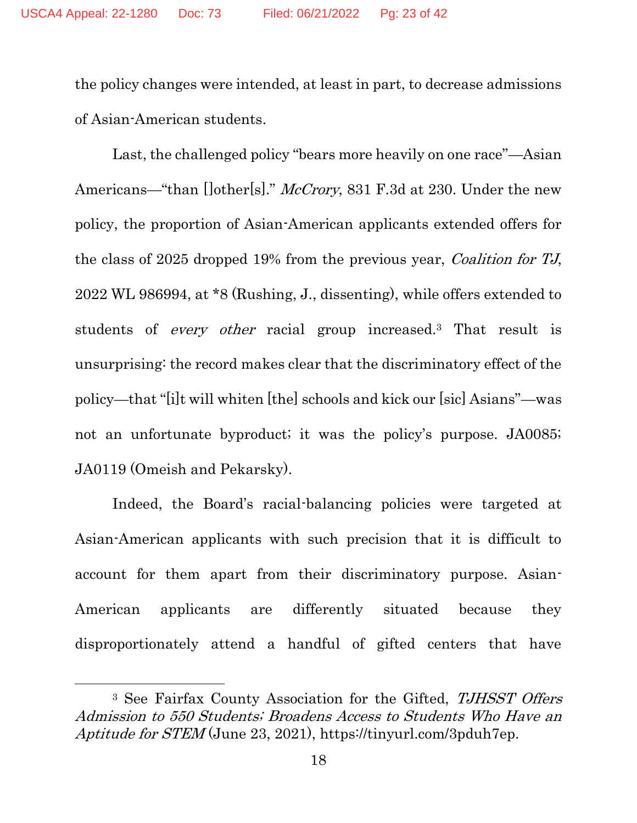the policy changes were intended, at least in part, to decrease admissions of Asian-American students.

Last, the challenged policy "bears more heavily on one race"—Asian Americans—"than []other[s]." *McCrory*, 831 F.3d at 230. Under the new policy, the proportion of Asian-American applicants extended offers for the class of 2025 dropped 19% from the previous year, Coalition for TJ, 2022 WL 986994, at \*8 (Rushing, J., dissenting), while offers extended to students of *every other* racial group increased.<sup>3</sup> That result is unsurprising: the record makes clear that the discriminatory effect of the policy—that "[i]t will whiten [the] schools and kick our [sic] Asians"—was not an unfortunate byproduct; it was the policy's purpose. JA0085; JA0119 (Omeish and Pekarsky).

Indeed, the Board's racial-balancing policies were targeted at Asian-American applicants with such precision that it is difficult to account for them apart from their discriminatory purpose. Asian-American applicants are differently situated because they disproportionately attend a handful of gifted centers that have

<sup>&</sup>lt;sup>3</sup> See Fairfax County Association for the Gifted, TJHSST Offers Admission to 550 Students; Broadens Access to Students Who Have an Aptitude for STEM (June 23, 2021), https://tinyurl.com/3pduh7ep.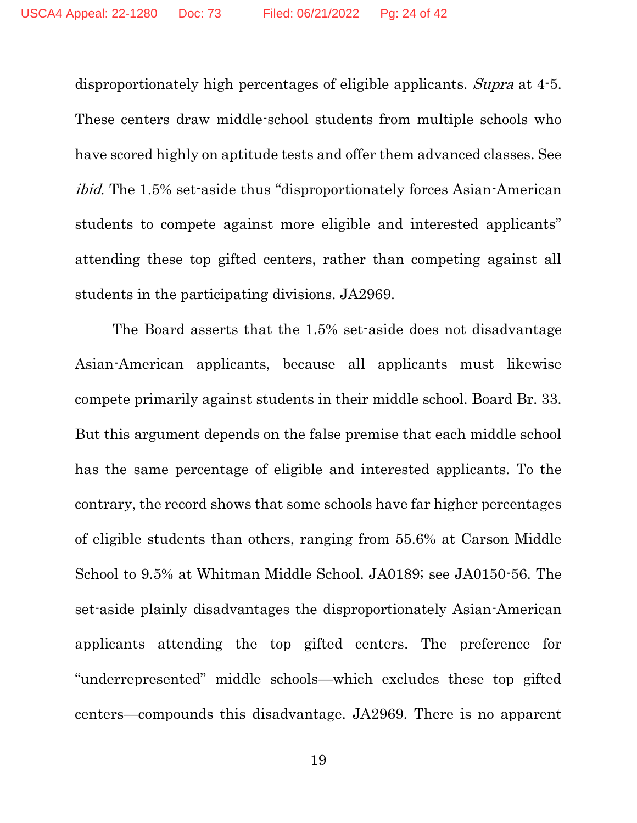disproportionately high percentages of eligible applicants. Supra at 4-5. These centers draw middle-school students from multiple schools who have scored highly on aptitude tests and offer them advanced classes. See ibid. The 1.5% set-aside thus "disproportionately forces Asian-American students to compete against more eligible and interested applicants" attending these top gifted centers, rather than competing against all students in the participating divisions. JA2969.

The Board asserts that the 1.5% set-aside does not disadvantage Asian-American applicants, because all applicants must likewise compete primarily against students in their middle school. Board Br. 33. But this argument depends on the false premise that each middle school has the same percentage of eligible and interested applicants. To the contrary, the record shows that some schools have far higher percentages of eligible students than others, ranging from 55.6% at Carson Middle School to 9.5% at Whitman Middle School. JA0189; see JA0150-56. The set-aside plainly disadvantages the disproportionately Asian-American applicants attending the top gifted centers. The preference for "underrepresented" middle schools—which excludes these top gifted centers—compounds this disadvantage. JA2969. There is no apparent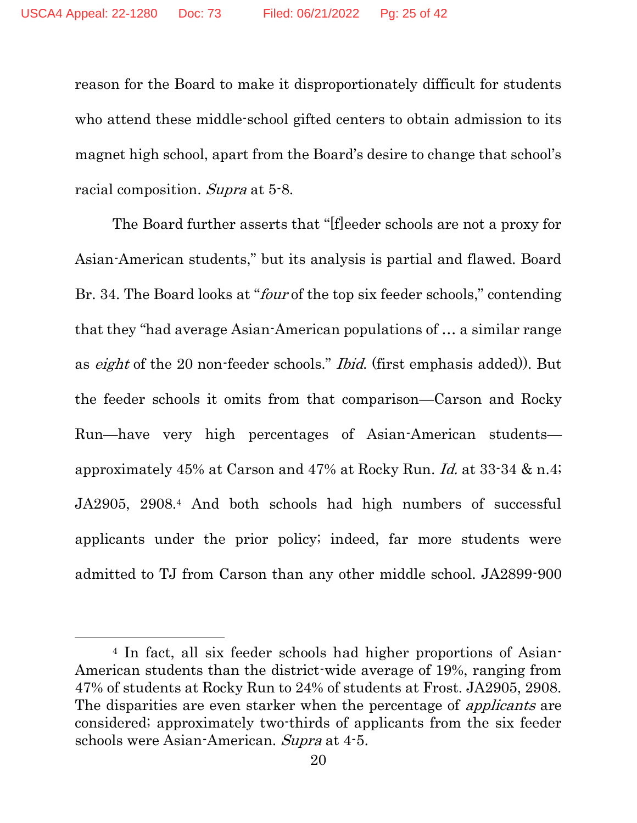reason for the Board to make it disproportionately difficult for students who attend these middle-school gifted centers to obtain admission to its magnet high school, apart from the Board's desire to change that school's racial composition. Supra at 5-8.

The Board further asserts that "[f]eeder schools are not a proxy for Asian-American students," but its analysis is partial and flawed. Board Br. 34. The Board looks at "*four* of the top six feeder schools," contending that they "had average Asian-American populations of … a similar range as eight of the 20 non-feeder schools." Ibid. (first emphasis added)). But the feeder schools it omits from that comparison—Carson and Rocky Run—have very high percentages of Asian-American students approximately 45% at Carson and 47% at Rocky Run. Id. at 33-34 & n.4; JA2905, 2908.<sup>4</sup> And both schools had high numbers of successful applicants under the prior policy; indeed, far more students were admitted to TJ from Carson than any other middle school. JA2899-900

<sup>4</sup> In fact, all six feeder schools had higher proportions of Asian-American students than the district-wide average of 19%, ranging from 47% of students at Rocky Run to 24% of students at Frost. JA2905, 2908. The disparities are even starker when the percentage of *applicants* are considered; approximately two-thirds of applicants from the six feeder schools were Asian-American. Supra at 4-5.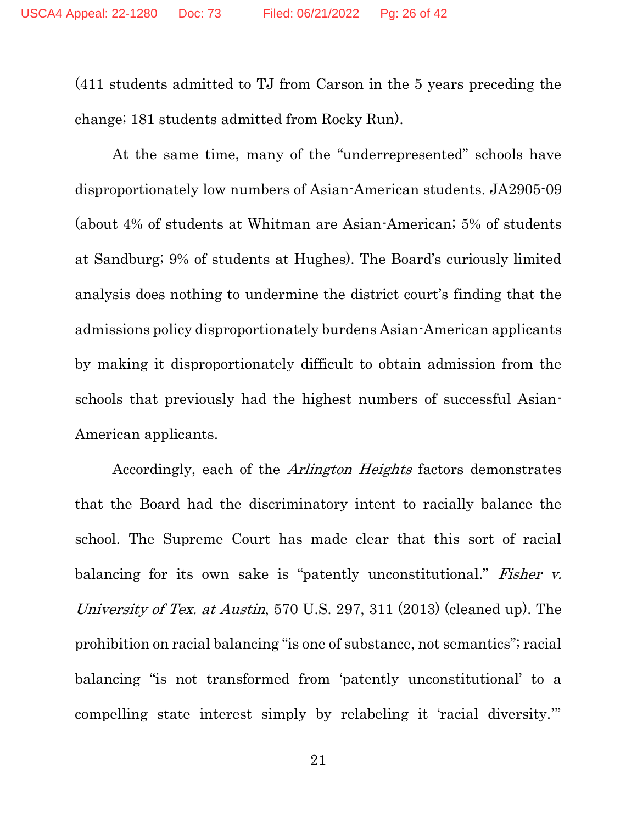(411 students admitted to TJ from Carson in the 5 years preceding the change; 181 students admitted from Rocky Run).

At the same time, many of the "underrepresented" schools have disproportionately low numbers of Asian-American students. JA2905-09 (about 4% of students at Whitman are Asian-American; 5% of students at Sandburg; 9% of students at Hughes). The Board's curiously limited analysis does nothing to undermine the district court's finding that the admissions policy disproportionately burdens Asian-American applicants by making it disproportionately difficult to obtain admission from the schools that previously had the highest numbers of successful Asian-American applicants.

Accordingly, each of the Arlington Heights factors demonstrates that the Board had the discriminatory intent to racially balance the school. The Supreme Court has made clear that this sort of racial balancing for its own sake is "patently unconstitutional." Fisher v. University of Tex. at Austin, 570 U.S. 297, 311 (2013) (cleaned up). The prohibition on racial balancing "is one of substance, not semantics"; racial balancing "is not transformed from 'patently unconstitutional' to a compelling state interest simply by relabeling it 'racial diversity.'"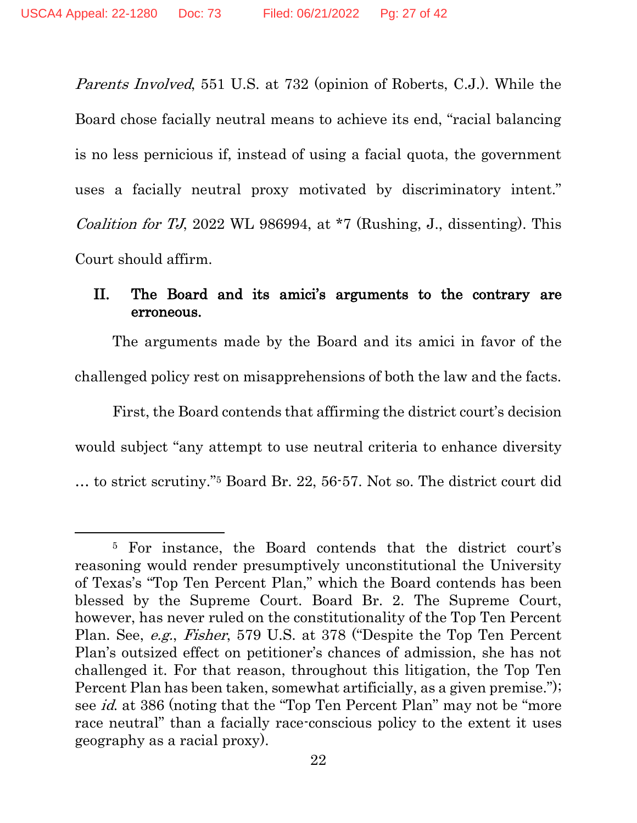Parents Involved, 551 U.S. at 732 (opinion of Roberts, C.J.). While the Board chose facially neutral means to achieve its end, "racial balancing is no less pernicious if, instead of using a facial quota, the government uses a facially neutral proxy motivated by discriminatory intent." Coalition for TJ, 2022 WL 986994, at  $*7$  (Rushing, J., dissenting). This Court should affirm.

#### II. The Board and its amici's arguments to the contrary are erroneous.

The arguments made by the Board and its amici in favor of the challenged policy rest on misapprehensions of both the law and the facts.

First, the Board contends that affirming the district court's decision would subject "any attempt to use neutral criteria to enhance diversity … to strict scrutiny."<sup>5</sup> Board Br. 22, 56-57. Not so. The district court did

<sup>5</sup> For instance, the Board contends that the district court's reasoning would render presumptively unconstitutional the University of Texas's "Top Ten Percent Plan," which the Board contends has been blessed by the Supreme Court. Board Br. 2. The Supreme Court, however, has never ruled on the constitutionality of the Top Ten Percent Plan. See, e.g., Fisher, 579 U.S. at 378 ("Despite the Top Ten Percent Plan's outsized effect on petitioner's chances of admission, she has not challenged it. For that reason, throughout this litigation, the Top Ten Percent Plan has been taken, somewhat artificially, as a given premise."); see id. at 386 (noting that the "Top Ten Percent Plan" may not be "more race neutral" than a facially race-conscious policy to the extent it uses geography as a racial proxy).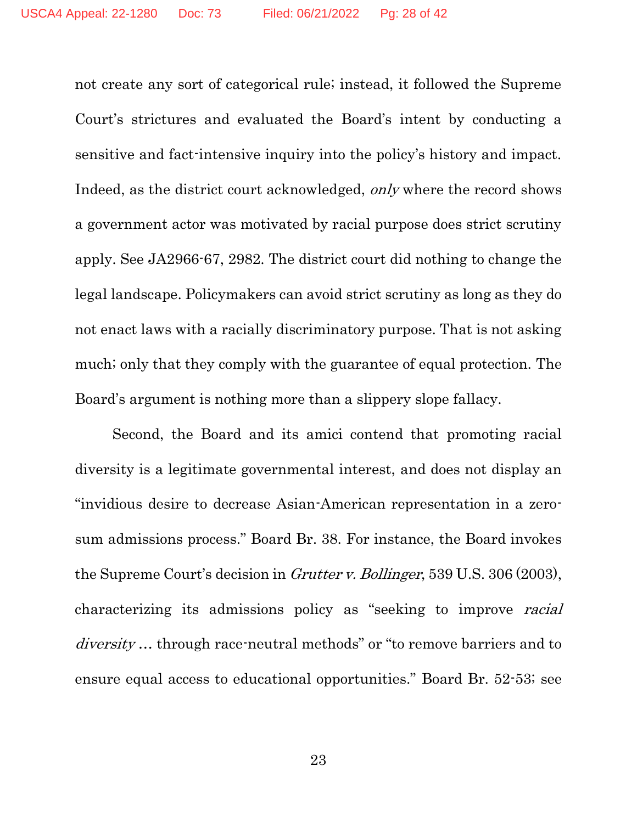not create any sort of categorical rule; instead, it followed the Supreme Court's strictures and evaluated the Board's intent by conducting a sensitive and fact-intensive inquiry into the policy's history and impact. Indeed, as the district court acknowledged, only where the record shows a government actor was motivated by racial purpose does strict scrutiny apply. See JA2966-67, 2982. The district court did nothing to change the legal landscape. Policymakers can avoid strict scrutiny as long as they do not enact laws with a racially discriminatory purpose. That is not asking much; only that they comply with the guarantee of equal protection. The Board's argument is nothing more than a slippery slope fallacy.

Second, the Board and its amici contend that promoting racial diversity is a legitimate governmental interest, and does not display an "invidious desire to decrease Asian-American representation in a zerosum admissions process." Board Br. 38. For instance, the Board invokes the Supreme Court's decision in *Grutter v. Bollinger*, 539 U.S. 306 (2003), characterizing its admissions policy as "seeking to improve racial diversity... through race-neutral methods" or "to remove barriers and to ensure equal access to educational opportunities." Board Br. 52-53; see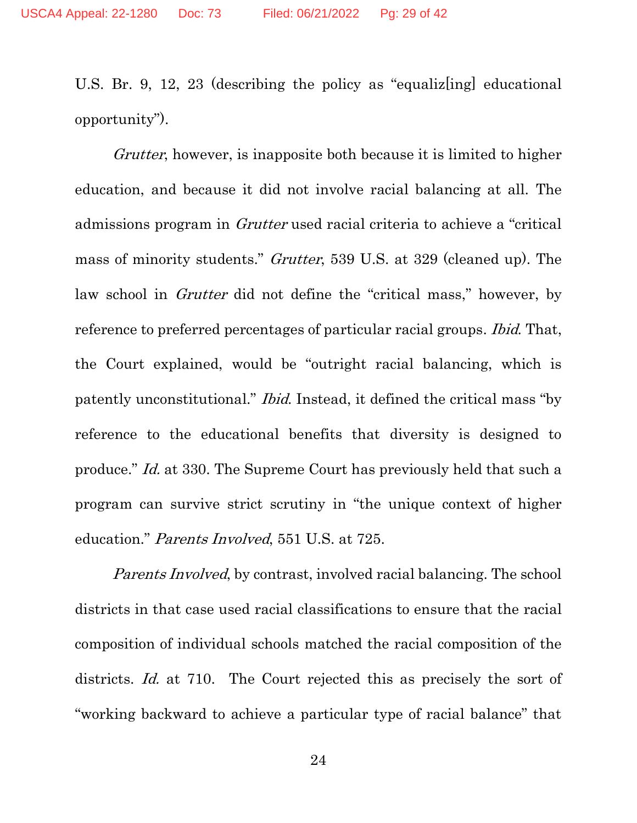U.S. Br. 9, 12, 23 (describing the policy as "equalizing educational" opportunity").

Grutter, however, is inapposite both because it is limited to higher education, and because it did not involve racial balancing at all. The admissions program in Grutter used racial criteria to achieve a "critical mass of minority students." Grutter, 539 U.S. at 329 (cleaned up). The law school in *Grutter* did not define the "critical mass," however, by reference to preferred percentages of particular racial groups. *Ibid.* That, the Court explained, would be "outright racial balancing, which is patently unconstitutional." Ibid. Instead, it defined the critical mass "by reference to the educational benefits that diversity is designed to produce." Id. at 330. The Supreme Court has previously held that such a program can survive strict scrutiny in "the unique context of higher education." Parents Involved, 551 U.S. at 725.

Parents Involved, by contrast, involved racial balancing. The school districts in that case used racial classifications to ensure that the racial composition of individual schools matched the racial composition of the districts. Id. at 710. The Court rejected this as precisely the sort of "working backward to achieve a particular type of racial balance" that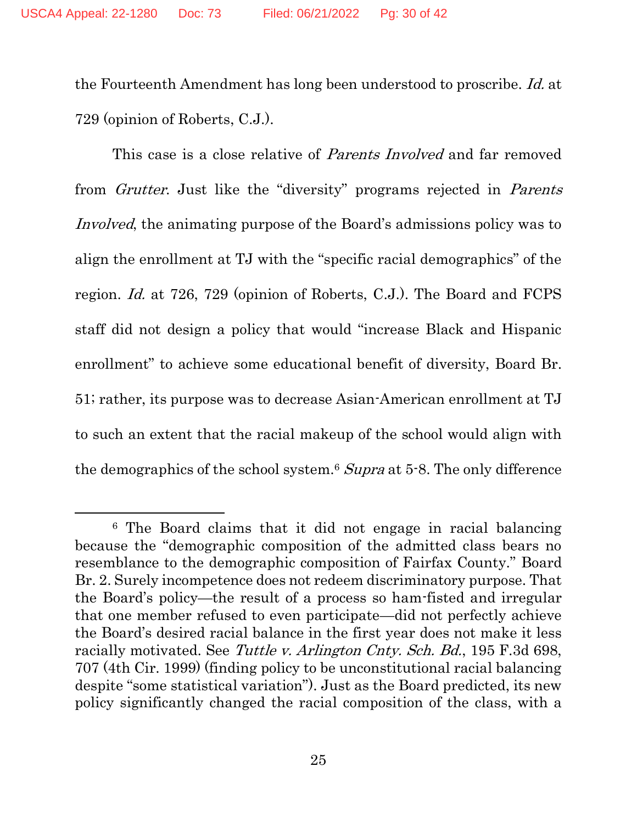the Fourteenth Amendment has long been understood to proscribe. Id. at 729 (opinion of Roberts, C.J.).

This case is a close relative of *Parents Involved* and far removed from Grutter. Just like the "diversity" programs rejected in Parents Involved, the animating purpose of the Board's admissions policy was to align the enrollment at TJ with the "specific racial demographics" of the region. Id. at 726, 729 (opinion of Roberts, C.J.). The Board and FCPS staff did not design a policy that would "increase Black and Hispanic enrollment" to achieve some educational benefit of diversity, Board Br. 51; rather, its purpose was to decrease Asian-American enrollment at TJ to such an extent that the racial makeup of the school would align with the demographics of the school system.<sup>6</sup> Supra at 5-8. The only difference

<sup>6</sup> The Board claims that it did not engage in racial balancing because the "demographic composition of the admitted class bears no resemblance to the demographic composition of Fairfax County." Board Br. 2. Surely incompetence does not redeem discriminatory purpose. That the Board's policy—the result of a process so ham-fisted and irregular that one member refused to even participate—did not perfectly achieve the Board's desired racial balance in the first year does not make it less racially motivated. See Tuttle v. Arlington Cnty. Sch. Bd., 195 F.3d 698, 707 (4th Cir. 1999) (finding policy to be unconstitutional racial balancing despite "some statistical variation"). Just as the Board predicted, its new policy significantly changed the racial composition of the class, with a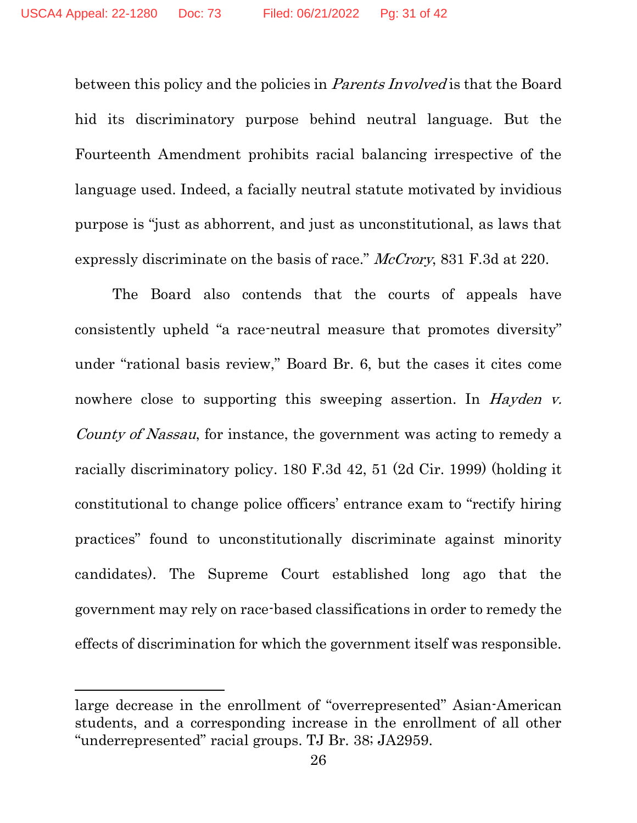between this policy and the policies in *Parents Involved* is that the Board hid its discriminatory purpose behind neutral language. But the Fourteenth Amendment prohibits racial balancing irrespective of the language used. Indeed, a facially neutral statute motivated by invidious purpose is "just as abhorrent, and just as unconstitutional, as laws that expressly discriminate on the basis of race." McCrory, 831 F.3d at 220.

The Board also contends that the courts of appeals have consistently upheld "a race-neutral measure that promotes diversity" under "rational basis review," Board Br. 6, but the cases it cites come nowhere close to supporting this sweeping assertion. In *Hayden v.* County of Nassau, for instance, the government was acting to remedy a racially discriminatory policy. 180 F.3d 42, 51 (2d Cir. 1999) (holding it constitutional to change police officers' entrance exam to "rectify hiring practices" found to unconstitutionally discriminate against minority candidates). The Supreme Court established long ago that the government may rely on race-based classifications in order to remedy the effects of discrimination for which the government itself was responsible.

large decrease in the enrollment of "overrepresented" Asian-American students, and a corresponding increase in the enrollment of all other "underrepresented" racial groups. TJ Br. 38; JA2959.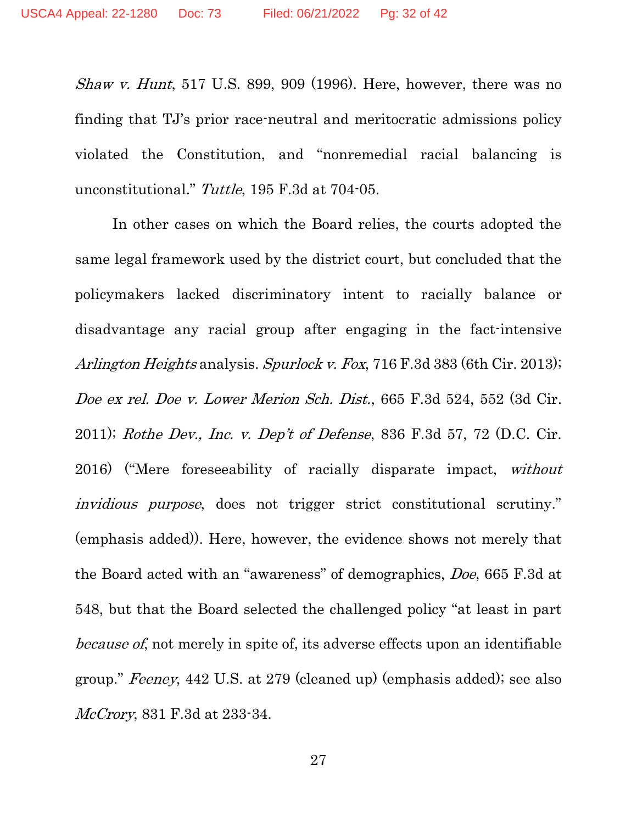Shaw v. Hunt, 517 U.S. 899, 909 (1996). Here, however, there was no finding that TJ's prior race-neutral and meritocratic admissions policy violated the Constitution, and "nonremedial racial balancing is unconstitutional." Tuttle, 195 F.3d at 704-05.

In other cases on which the Board relies, the courts adopted the same legal framework used by the district court, but concluded that the policymakers lacked discriminatory intent to racially balance or disadvantage any racial group after engaging in the fact-intensive Arlington Heights analysis. Spurlock v. Fox, 716 F.3d 383 (6th Cir. 2013); Doe ex rel. Doe v. Lower Merion Sch. Dist., 665 F.3d 524, 552 (3d Cir. 2011); Rothe Dev., Inc. v. Dep't of Defense, 836 F.3d 57, 72 (D.C. Cir. 2016) ("Mere foreseeability of racially disparate impact, without invidious purpose, does not trigger strict constitutional scrutiny." (emphasis added)). Here, however, the evidence shows not merely that the Board acted with an "awareness" of demographics, Doe, 665 F.3d at 548, but that the Board selected the challenged policy "at least in part because of, not merely in spite of, its adverse effects upon an identifiable group." Feeney, 442 U.S. at 279 (cleaned up) (emphasis added); see also McCrory, 831 F.3d at 233-34.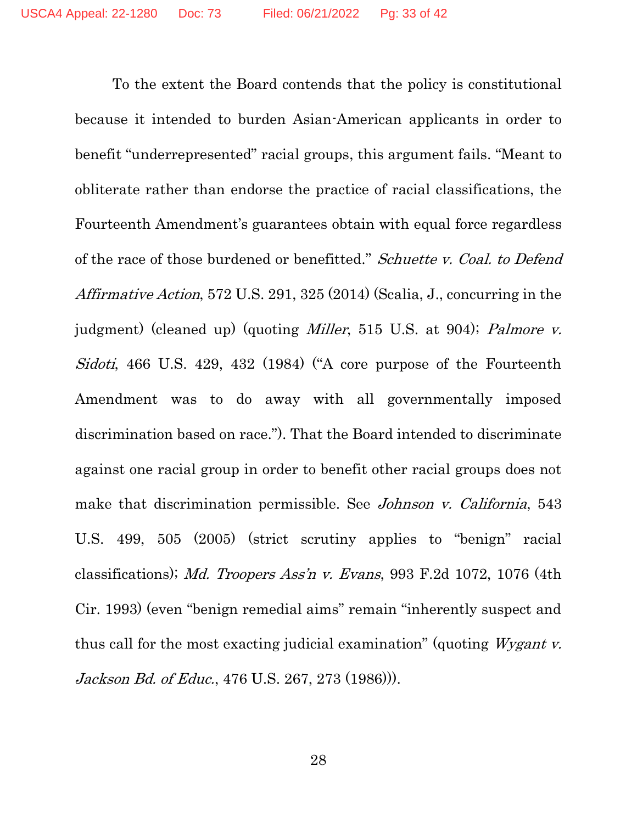To the extent the Board contends that the policy is constitutional because it intended to burden Asian-American applicants in order to benefit "underrepresented" racial groups, this argument fails. "Meant to obliterate rather than endorse the practice of racial classifications, the Fourteenth Amendment's guarantees obtain with equal force regardless of the race of those burdened or benefitted." Schuette v. Coal. to Defend Affirmative Action, 572 U.S. 291, 325 (2014) (Scalia, J., concurring in the judgment) (cleaned up) (quoting *Miller*, 515 U.S. at 904); *Palmore v.* Sidoti, 466 U.S. 429, 432 (1984) ("A core purpose of the Fourteenth Amendment was to do away with all governmentally imposed discrimination based on race."). That the Board intended to discriminate against one racial group in order to benefit other racial groups does not make that discrimination permissible. See *Johnson v. California*, 543 U.S. 499, 505 (2005) (strict scrutiny applies to "benign" racial classifications); Md. Troopers Ass'n v. Evans, 993 F.2d 1072, 1076 (4th Cir. 1993) (even "benign remedial aims" remain "inherently suspect and thus call for the most exacting judicial examination" (quoting Wygant v. Jackson Bd. of Educ., 476 U.S. 267, 273 (1986))).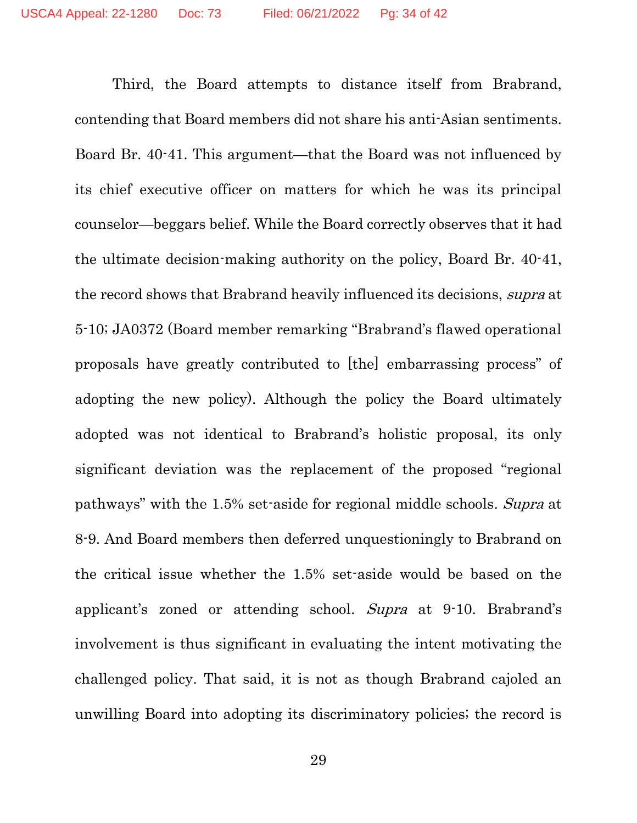Third, the Board attempts to distance itself from Brabrand, contending that Board members did not share his anti-Asian sentiments. Board Br. 40-41. This argument—that the Board was not influenced by its chief executive officer on matters for which he was its principal counselor—beggars belief. While the Board correctly observes that it had the ultimate decision-making authority on the policy, Board Br. 40-41, the record shows that Brabrand heavily influenced its decisions, supra at 5-10; JA0372 (Board member remarking "Brabrand's flawed operational proposals have greatly contributed to [the] embarrassing process" of adopting the new policy). Although the policy the Board ultimately adopted was not identical to Brabrand's holistic proposal, its only significant deviation was the replacement of the proposed "regional pathways" with the 1.5% set-aside for regional middle schools. Supra at 8-9. And Board members then deferred unquestioningly to Brabrand on the critical issue whether the 1.5% set-aside would be based on the applicant's zoned or attending school. Supra at 9-10. Brabrand's involvement is thus significant in evaluating the intent motivating the challenged policy. That said, it is not as though Brabrand cajoled an unwilling Board into adopting its discriminatory policies; the record is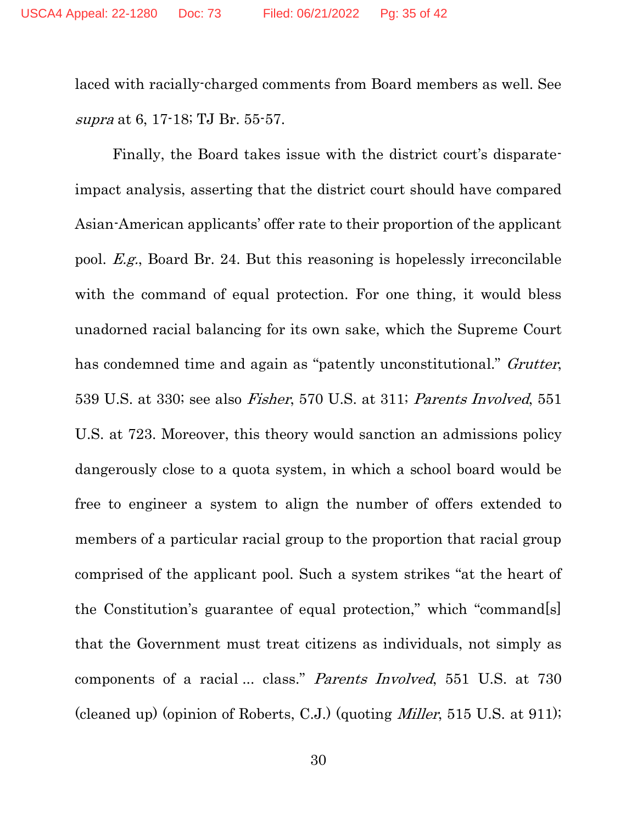laced with racially-charged comments from Board members as well. See supra at 6, 17-18; TJ Br. 55-57.

Finally, the Board takes issue with the district court's disparateimpact analysis, asserting that the district court should have compared Asian-American applicants' offer rate to their proportion of the applicant pool. E.g., Board Br. 24. But this reasoning is hopelessly irreconcilable with the command of equal protection. For one thing, it would bless unadorned racial balancing for its own sake, which the Supreme Court has condemned time and again as "patently unconstitutional." Grutter, 539 U.S. at 330; see also Fisher, 570 U.S. at 311; Parents Involved, 551 U.S. at 723. Moreover, this theory would sanction an admissions policy dangerously close to a quota system, in which a school board would be free to engineer a system to align the number of offers extended to members of a particular racial group to the proportion that racial group comprised of the applicant pool. Such a system strikes "at the heart of the Constitution's guarantee of equal protection," which "command[s] that the Government must treat citizens as individuals, not simply as components of a racial ... class." Parents Involved, 551 U.S. at 730 (cleaned up) (opinion of Roberts, C.J.) (quoting Miller, 515 U.S. at 911);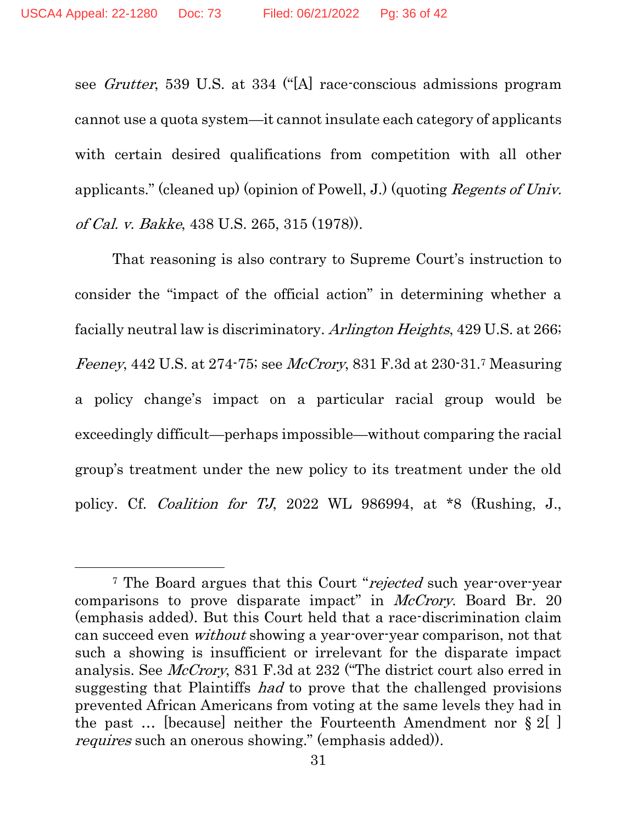see Grutter, 539 U.S. at 334 ("[A] race-conscious admissions program cannot use a quota system—it cannot insulate each category of applicants with certain desired qualifications from competition with all other applicants." (cleaned up) (opinion of Powell, J.) (quoting Regents of Univ. of Cal. v. Bakke, 438 U.S. 265, 315 (1978)).

That reasoning is also contrary to Supreme Court's instruction to consider the "impact of the official action" in determining whether a facially neutral law is discriminatory. Arlington Heights, 429 U.S. at 266; Feeney, 442 U.S. at 274-75; see McCrory, 831 F.3d at 230-31.7 Measuring a policy change's impact on a particular racial group would be exceedingly difficult—perhaps impossible—without comparing the racial group's treatment under the new policy to its treatment under the old policy. Cf. Coalition for TJ, 2022 WL 986994, at \*8 (Rushing, J.,

<sup>&</sup>lt;sup>7</sup> The Board argues that this Court "rejected such year-over-year comparisons to prove disparate impact" in *McCrory*. Board Br. 20 (emphasis added). But this Court held that a race-discrimination claim can succeed even without showing a year-over-year comparison, not that such a showing is insufficient or irrelevant for the disparate impact analysis. See McCrory, 831 F.3d at 232 ("The district court also erred in suggesting that Plaintiffs had to prove that the challenged provisions prevented African Americans from voting at the same levels they had in the past … [because] neither the Fourteenth Amendment nor § 2[ ] requires such an onerous showing." (emphasis added)).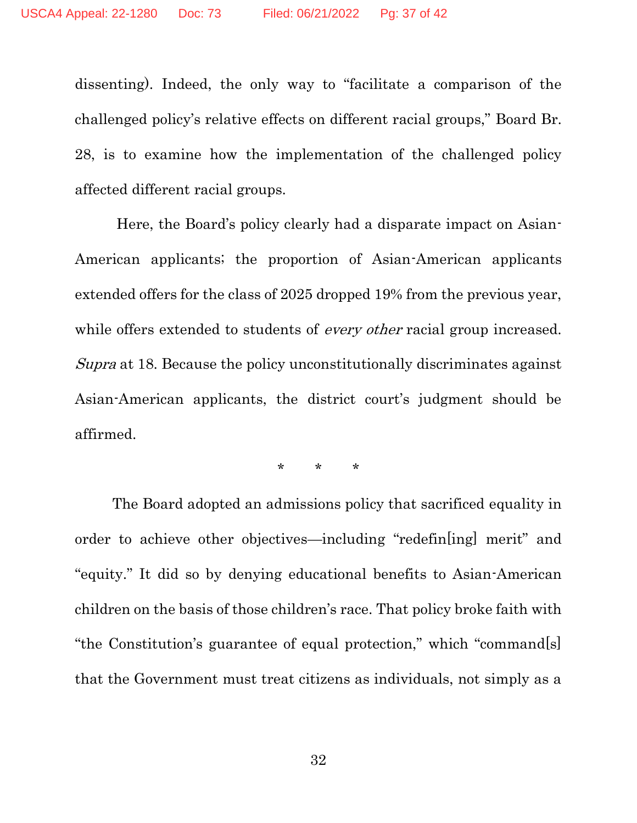dissenting). Indeed, the only way to "facilitate a comparison of the challenged policy's relative effects on different racial groups," Board Br. 28, is to examine how the implementation of the challenged policy affected different racial groups.

Here, the Board's policy clearly had a disparate impact on Asian-American applicants; the proportion of Asian-American applicants extended offers for the class of 2025 dropped 19% from the previous year, while offers extended to students of *every other* racial group increased. Supra at 18. Because the policy unconstitutionally discriminates against Asian-American applicants, the district court's judgment should be affirmed.

\* \* \*

The Board adopted an admissions policy that sacrificed equality in order to achieve other objectives—including "redefin[ing] merit" and "equity." It did so by denying educational benefits to Asian-American children on the basis of those children's race. That policy broke faith with "the Constitution's guarantee of equal protection," which "command[s] that the Government must treat citizens as individuals, not simply as a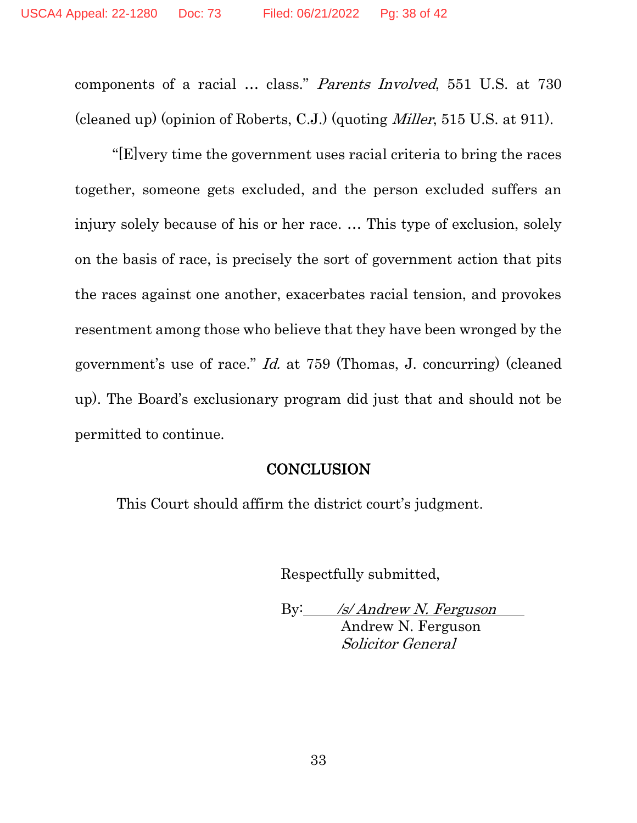components of a racial … class." Parents Involved, 551 U.S. at 730 (cleaned up) (opinion of Roberts, C.J.) (quoting Miller, 515 U.S. at 911).

"[E]very time the government uses racial criteria to bring the races together, someone gets excluded, and the person excluded suffers an injury solely because of his or her race. … This type of exclusion, solely on the basis of race, is precisely the sort of government action that pits the races against one another, exacerbates racial tension, and provokes resentment among those who believe that they have been wronged by the government's use of race." Id. at 759 (Thomas, J. concurring) (cleaned up). The Board's exclusionary program did just that and should not be permitted to continue.

#### **CONCLUSION**

This Court should affirm the district court's judgment.

Respectfully submitted,

By: /s/ Andrew N. Ferguson Andrew N. Ferguson Solicitor General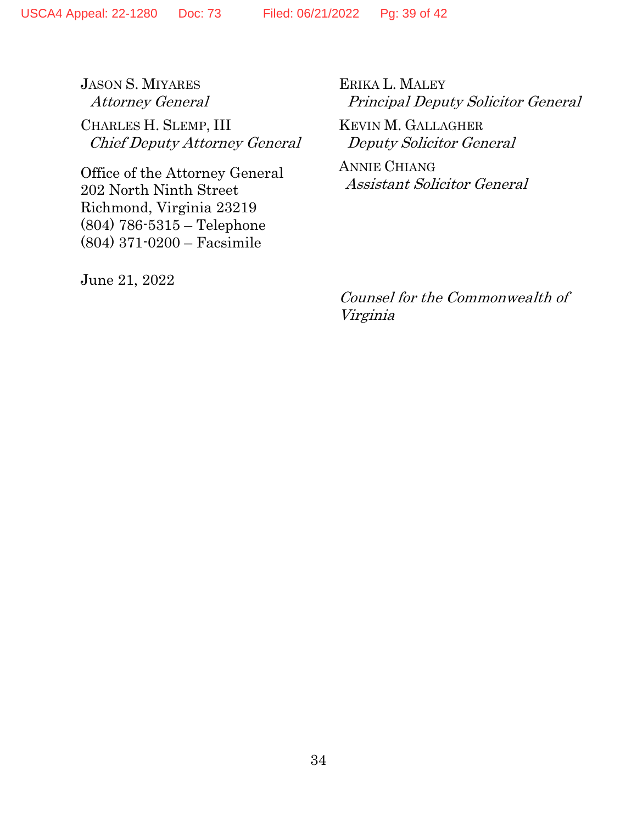JASON S. MIYARES Attorney General CHARLES H. SLEMP, III Chief Deputy Attorney General

Office of the Attorney General 202 North Ninth Street Richmond, Virginia 23219 (804) 786-5315 – Telephone (804) 371-0200 – Facsimile

June 21, 2022

ERIKA L. MALEY Principal Deputy Solicitor General

KEVIN M. GALLAGHER Deputy Solicitor General

ANNIE CHIANG Assistant Solicitor General

Counsel for the Commonwealth of Virginia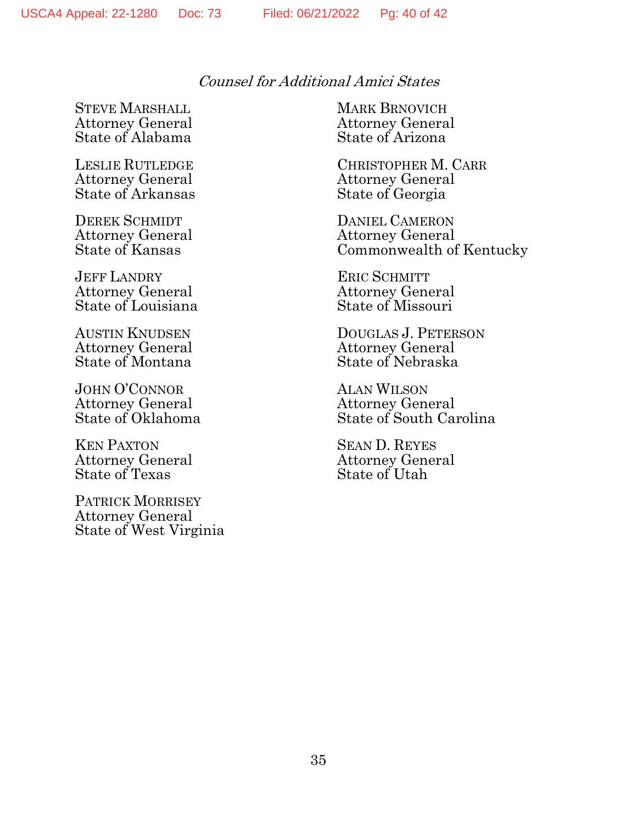Counsel for Additional Amici States

STEVE MARSHALL MARK BRNOVICH Attorney General Attorney General State of Alabama

Attorney General Attorney General<br>
State of Arkansas State of Georgia State of Arkansas

DEREK SCHMIDT DANIEL CAMERON

JEFF LANDRY ERIC SCHMITT Attorney General Attorney General<br>
State of Louisiana State of Missouri State of Louisiana

JOHN O'CONNOR ALAN WILSON Attorney General Attorney General<br>
State of Oklahoma State of South Ca

KEN PAXTON<br>Attorney General SEAN D. REYES<br>Attorney General Attorney General Attorney General<br>State of Texas State of Utah State of Texas

PATRICK MORRISEY Attorney General State of West Virginia

LESLIE RUTLEDGE CHRISTOPHER M. CARR

Attorney General Attorney General Commonwealth of Kentucky

AUSTIN KNUDSEN DOUGLAS J. PETERSON Attorney General Attorney General<br>
State of Montana State of Nebraska State of Nebraska

State of South Carolina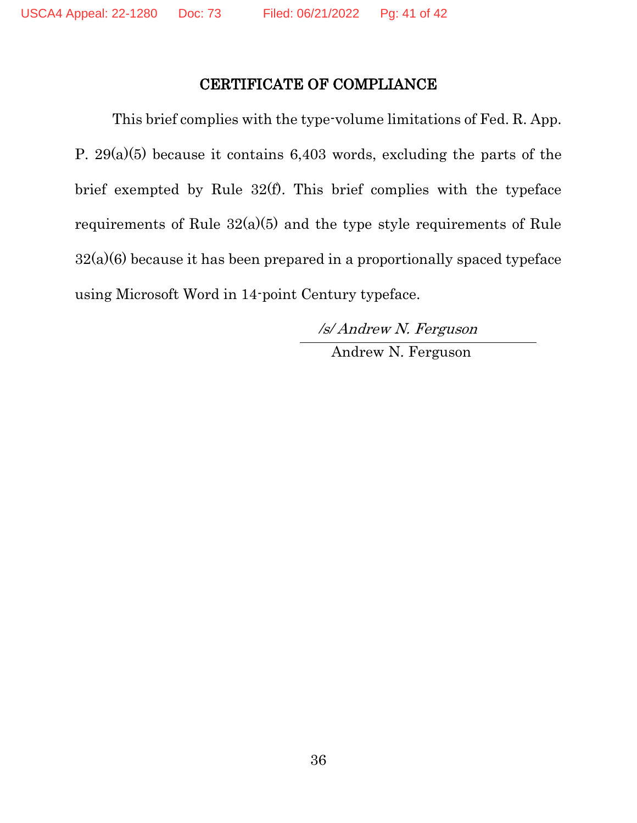#### CERTIFICATE OF COMPLIANCE

This brief complies with the type-volume limitations of Fed. R. App. P. 29(a)(5) because it contains 6,403 words, excluding the parts of the brief exempted by Rule 32(f). This brief complies with the typeface requirements of Rule 32(a)(5) and the type style requirements of Rule  $32(a)(6)$  because it has been prepared in a proportionally spaced typeface using Microsoft Word in 14-point Century typeface.

> /s/ Andrew N. Ferguson Andrew N. Ferguson